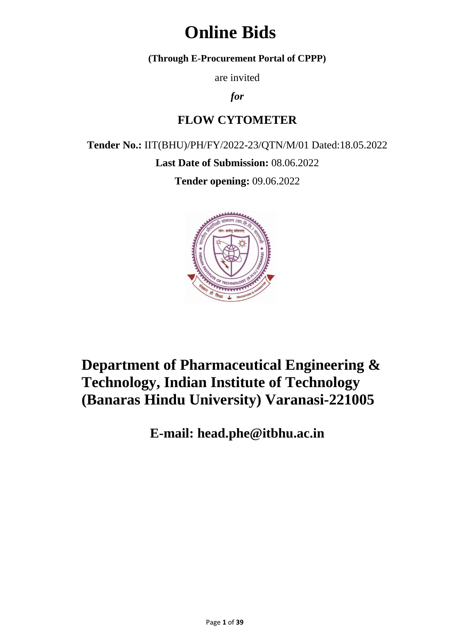# **Online Bids**

**(Through E-Procurement Portal of CPPP)**

are invited

*for*

# **FLOW CYTOMETER**

**Tender No.:** IIT(BHU)/PH/FY/2022-23/QTN/M/01 Dated:18.05.2022

**Last Date of Submission:** 08.06.2022

**Tender opening:** 09.06.2022



# **Department of Pharmaceutical Engineering & Technology, Indian Institute of Technology (Banaras Hindu University) Varanasi-221005**

**E-mail: head.phe@itbhu.ac.in**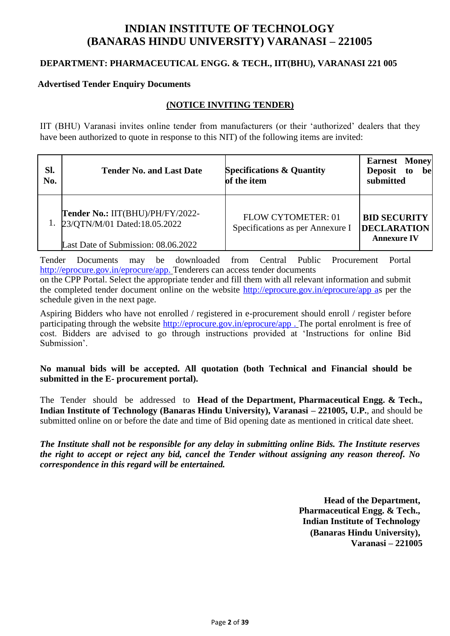# **INDIAN INSTITUTE OF TECHNOLOGY (BANARAS HINDU UNIVERSITY) VARANASI – 221005**

#### **DEPARTMENT: PHARMACEUTICAL ENGG. & TECH., IIT(BHU), VARANASI 221 005**

#### **Advertised Tender Enquiry Documents**

#### **(NOTICE INVITING TENDER)**

IIT (BHU) Varanasi invites online tender from manufacturers (or their "authorized" dealers that they have been authorized to quote in response to this NIT) of the following items are invited:

| Sl.<br>No. | <b>Tender No. and Last Date</b>                                                                         | <b>Specifications &amp; Quantity</b><br>of the item           | <b>Earnest Money</b><br>Deposit to<br>be<br>submitted           |
|------------|---------------------------------------------------------------------------------------------------------|---------------------------------------------------------------|-----------------------------------------------------------------|
|            | Tender No.: IIT(BHU)/PH/FY/2022-<br>23/QTN/M/01 Dated:18.05.2022<br>Last Date of Submission: 08.06.2022 | <b>FLOW CYTOMETER: 01</b><br>Specifications as per Annexure I | <b>BID SECURITY</b><br><b>DECLARATION</b><br><b>Annexure IV</b> |

Tender Documents may be downloaded from Central Public Procurement Portal <http://eprocure.gov.in/eprocure/app.> Tenderers can access tender documents

on the CPP Portal. Select the appropriate tender and fill them with all relevant information and submit the completed tender document online on the website [http://eprocure.gov.in/eprocure/app as](http://eprocure.gov.in/eprocure/app) per the schedule given in the next page.

Aspiring Bidders who have not enrolled / registered in e-procurement should enroll / register before participating through the website [http://eprocure.gov.in/eprocure/app .](http://eprocure.gov.in/eprocure/app) The portal enrolment is free of cost. Bidders are advised to go through instructions provided at "Instructions for online Bid Submission'.

**No manual bids will be accepted. All quotation (both Technical and Financial should be submitted in the E- procurement portal).**

The Tender should be addressed to **Head of the Department, Pharmaceutical Engg. & Tech., Indian Institute of Technology (Banaras Hindu University), Varanasi – 221005, U.P.**, and should be submitted online on or before the date and time of Bid opening date as mentioned in critical date sheet.

*The Institute shall not be responsible for any delay in submitting online Bids. The Institute reserves the right to accept or reject any bid, cancel the Tender without assigning any reason thereof. No correspondence in this regard will be entertained.*

> **Head of the Department, Pharmaceutical Engg. & Tech., Indian Institute of Technology (Banaras Hindu University), Varanasi – 221005**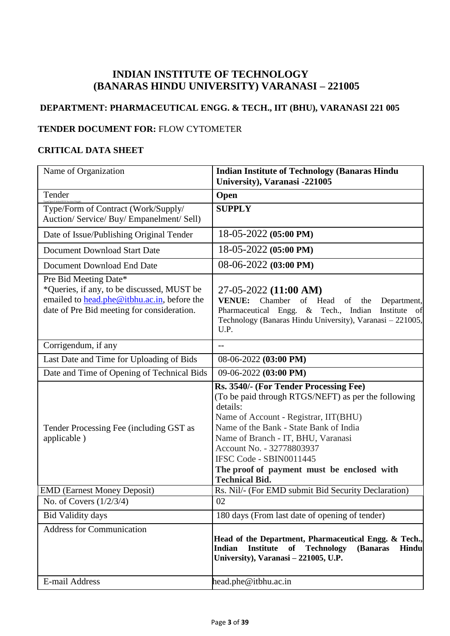## **INDIAN INSTITUTE OF TECHNOLOGY (BANARAS HINDU UNIVERSITY) VARANASI – 221005**

# **DEPARTMENT: PHARMACEUTICAL ENGG. & TECH., IIT (BHU), VARANASI 221 005**

#### **TENDER DOCUMENT FOR:** FLOW CYTOMETER

#### **CRITICAL DATA SHEET**

| Name of Organization                                                                                                                                                     | <b>Indian Institute of Technology (Banaras Hindu)</b><br>University), Varanasi -221005                                                                                                                                                                                                                                                                            |
|--------------------------------------------------------------------------------------------------------------------------------------------------------------------------|-------------------------------------------------------------------------------------------------------------------------------------------------------------------------------------------------------------------------------------------------------------------------------------------------------------------------------------------------------------------|
| Tender                                                                                                                                                                   | Open                                                                                                                                                                                                                                                                                                                                                              |
| Type/Form of Contract (Work/Supply/<br>Auction/ Service/ Buy/ Empanelment/ Sell)                                                                                         | <b>SUPPLY</b>                                                                                                                                                                                                                                                                                                                                                     |
| Date of Issue/Publishing Original Tender                                                                                                                                 | $18-05-2022$ (05:00 PM)                                                                                                                                                                                                                                                                                                                                           |
| Document Download Start Date                                                                                                                                             | 18-05-2022 (05:00 PM)                                                                                                                                                                                                                                                                                                                                             |
| Document Download End Date                                                                                                                                               | $08-06-2022$ $(03:00 \text{ PM})$                                                                                                                                                                                                                                                                                                                                 |
| Pre Bid Meeting Date*<br>*Queries, if any, to be discussed, MUST be<br>emailed to <b>head.phe@itbhu.ac.in</b> , before the<br>date of Pre Bid meeting for consideration. | 27-05-2022 (11:00 AM)<br><b>VENUE:</b><br>Chamber<br>of Head<br>of<br>the<br>Department,<br>Pharmaceutical Engg. & Tech., Indian<br>Institute<br>- of<br>Technology (Banaras Hindu University), Varanasi - 221005,<br>U.P.                                                                                                                                        |
| Corrigendum, if any                                                                                                                                                      | $-$                                                                                                                                                                                                                                                                                                                                                               |
| Last Date and Time for Uploading of Bids                                                                                                                                 | 08-06-2022 (03:00 PM)                                                                                                                                                                                                                                                                                                                                             |
| Date and Time of Opening of Technical Bids                                                                                                                               | 09-06-2022 (03:00 PM)                                                                                                                                                                                                                                                                                                                                             |
| Tender Processing Fee (including GST as<br>applicable)                                                                                                                   | Rs. 3540/- (For Tender Processing Fee)<br>(To be paid through RTGS/NEFT) as per the following<br>details:<br>Name of Account - Registrar, IIT(BHU)<br>Name of the Bank - State Bank of India<br>Name of Branch - IT, BHU, Varanasi<br>Account No. - 32778803937<br>IFSC Code - SBIN0011445<br>The proof of payment must be enclosed with<br><b>Technical Bid.</b> |
| <b>EMD</b> (Earnest Money Deposit)                                                                                                                                       | Rs. Nil/- (For EMD submit Bid Security Declaration)                                                                                                                                                                                                                                                                                                               |
| No. of Covers $(1/2/3/4)$                                                                                                                                                | 02                                                                                                                                                                                                                                                                                                                                                                |
| <b>Bid Validity days</b>                                                                                                                                                 | 180 days (From last date of opening of tender)                                                                                                                                                                                                                                                                                                                    |
| <b>Address for Communication</b>                                                                                                                                         | Head of the Department, Pharmaceutical Engg. & Tech.,<br>of Technology<br>Indian<br><b>Institute</b><br>(Banaras<br><b>Hindu</b><br>University), Varanasi - 221005, U.P.                                                                                                                                                                                          |
| E-mail Address                                                                                                                                                           | head.phe@itbhu.ac.in                                                                                                                                                                                                                                                                                                                                              |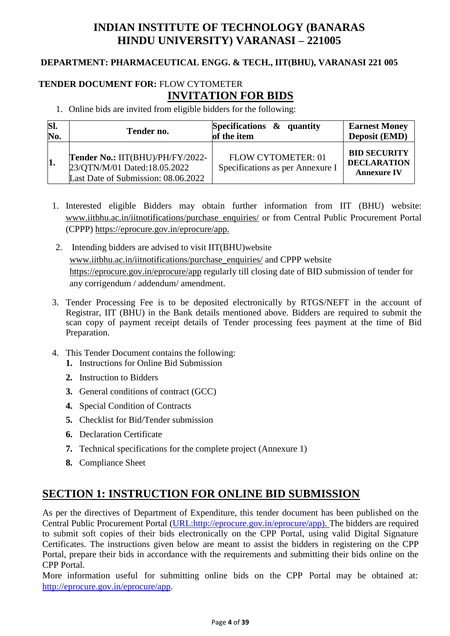# **INDIAN INSTITUTE OF TECHNOLOGY (BANARAS HINDU UNIVERSITY) VARANASI – 221005**

#### **DEPARTMENT: PHARMACEUTICAL ENGG. & TECH., IIT(BHU), VARANASI 221 005**

### **TENDER DOCUMENT FOR:** FLOW CYTOMETER **INVITATION FOR BIDS**

1. Online bids are invited from eligible bidders for the following:

| SI. | Tender no.                                                                                              | Specifications $\&$ quantity                           | <b>Earnest Money</b>                                            |
|-----|---------------------------------------------------------------------------------------------------------|--------------------------------------------------------|-----------------------------------------------------------------|
| No. |                                                                                                         | of the item                                            | <b>Deposit (EMD)</b>                                            |
| 1.  | Tender No.: IIT(BHU)/PH/FY/2022-<br>23/QTN/M/01 Dated:18.05.2022<br>Last Date of Submission: 08.06.2022 | FLOW CYTOMETER: 01<br>Specifications as per Annexure I | <b>BID SECURITY</b><br><b>DECLARATION</b><br><b>Annexure IV</b> |

- 1. Interested eligible Bidders may obtain further information from IIT (BHU) website: [www.iitbhu.ac.in/iitnotifications/purchase\\_enquiries/](http://www.iitbhu.ac.in/iitnotifications/purchase_enquiries/) or from Central Public Procurement Portal (CPPP) [https://eprocure.gov.in/eprocure/app.](https://eprocure.gov.in/eprocure/app)
- 2. Intending bidders are advised to visit IIT(BHU)website [www.iitbhu.ac.in/iitnotifications/purchase\\_enquiries/](http://www.iitbhu.ac.in/iitnotifications/purchase_enquiries/) and CPPP website <https://eprocure.gov.in/eprocure/app> regularly till closing date of BID submission of tender for any corrigendum / addendum/ amendment.
- 3. Tender Processing Fee is to be deposited electronically by RTGS/NEFT in the account of Registrar, IIT (BHU) in the Bank details mentioned above. Bidders are required to submit the scan copy of payment receipt details of Tender processing fees payment at the time of Bid Preparation.
- 4. This Tender Document contains the following:
	- **1.** Instructions for Online Bid Submission
	- **2.** Instruction to Bidders
	- **3.** General conditions of contract (GCC)
	- **4.** Special Condition of Contracts
	- **5.** Checklist for Bid/Tender submission
	- **6.** Declaration Certificate
	- **7.** Technical specifications for the complete project (Annexure 1)
	- **8.** Compliance Sheet

### **SECTION 1: INSTRUCTION FOR ONLINE BID SUBMISSION**

As per the directives of Department of Expenditure, this tender document has been published on the Central Public Procurement Portal [\(URL:http://eprocure.gov.in/eprocure/app\). T](http://eprocure.gov.in/eprocure/app)he bidders are required to submit soft copies of their bids electronically on the CPP Portal, using valid Digital Signature Certificates. The instructions given below are meant to assist the bidders in registering on the CPP Portal, prepare their bids in accordance with the requirements and submitting their bids online on the CPP Portal.

More information useful for submitting online bids on the CPP Portal may be obtained at: [http://eprocure.gov.in/eprocure/app.](http://eprocure.gov.in/eprocure/app)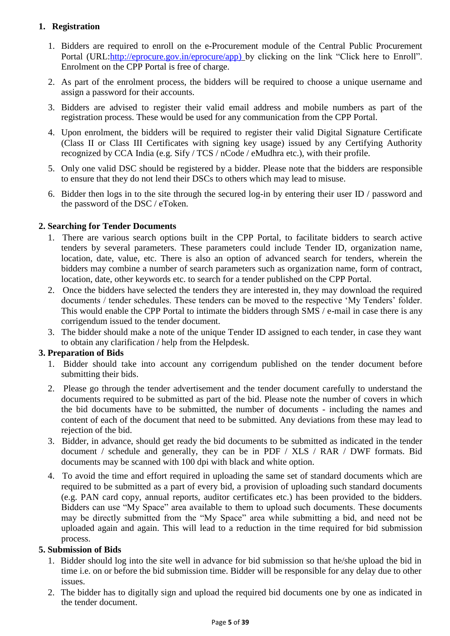### **1. Registration**

- 1. Bidders are required to enroll on the e-Procurement module of the Central Public Procurement Portal (URL[:http://eprocure.gov.in/eprocure/app\)](http://eprocure.gov.in/eprocure/app) by clicking on the link "Click here to Enroll". Enrolment on the CPP Portal is free of charge.
- 2. As part of the enrolment process, the bidders will be required to choose a unique username and assign a password for their accounts.
- 3. Bidders are advised to register their valid email address and mobile numbers as part of the registration process. These would be used for any communication from the CPP Portal.
- 4. Upon enrolment, the bidders will be required to register their valid Digital Signature Certificate (Class II or Class III Certificates with signing key usage) issued by any Certifying Authority recognized by CCA India (e.g. Sify / TCS / nCode / eMudhra etc.), with their profile.
- 5. Only one valid DSC should be registered by a bidder. Please note that the bidders are responsible to ensure that they do not lend their DSCs to others which may lead to misuse.
- 6. Bidder then logs in to the site through the secured log-in by entering their user ID / password and the password of the DSC / eToken.

### **2. Searching for Tender Documents**

- 1. There are various search options built in the CPP Portal, to facilitate bidders to search active tenders by several parameters. These parameters could include Tender ID, organization name, location, date, value, etc. There is also an option of advanced search for tenders, wherein the bidders may combine a number of search parameters such as organization name, form of contract, location, date, other keywords etc. to search for a tender published on the CPP Portal.
- 2. Once the bidders have selected the tenders they are interested in, they may download the required documents / tender schedules. These tenders can be moved to the respective 'My Tenders' folder. This would enable the CPP Portal to intimate the bidders through SMS / e-mail in case there is any corrigendum issued to the tender document.
- 3. The bidder should make a note of the unique Tender ID assigned to each tender, in case they want to obtain any clarification / help from the Helpdesk.

#### **3. Preparation of Bids**

- 1. Bidder should take into account any corrigendum published on the tender document before submitting their bids.
- 2. Please go through the tender advertisement and the tender document carefully to understand the documents required to be submitted as part of the bid. Please note the number of covers in which the bid documents have to be submitted, the number of documents - including the names and content of each of the document that need to be submitted. Any deviations from these may lead to rejection of the bid.
- 3. Bidder, in advance, should get ready the bid documents to be submitted as indicated in the tender document / schedule and generally, they can be in PDF / XLS / RAR / DWF formats. Bid documents may be scanned with 100 dpi with black and white option.
- 4. To avoid the time and effort required in uploading the same set of standard documents which are required to be submitted as a part of every bid, a provision of uploading such standard documents (e.g. PAN card copy, annual reports, auditor certificates etc.) has been provided to the bidders. Bidders can use "My Space" area available to them to upload such documents. These documents may be directly submitted from the "My Space" area while submitting a bid, and need not be uploaded again and again. This will lead to a reduction in the time required for bid submission process.

#### **5. Submission of Bids**

- 1. Bidder should log into the site well in advance for bid submission so that he/she upload the bid in time i.e. on or before the bid submission time. Bidder will be responsible for any delay due to other issues.
- 2. The bidder has to digitally sign and upload the required bid documents one by one as indicated in the tender document.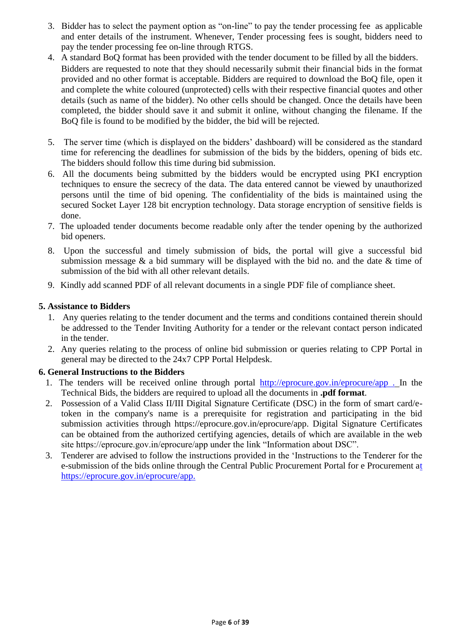- 3. Bidder has to select the payment option as "on-line" to pay the tender processing fee as applicable and enter details of the instrument. Whenever, Tender processing fees is sought, bidders need to pay the tender processing fee on-line through RTGS.
- 4. A standard BoQ format has been provided with the tender document to be filled by all the bidders. Bidders are requested to note that they should necessarily submit their financial bids in the format provided and no other format is acceptable. Bidders are required to download the BoQ file, open it and complete the white coloured (unprotected) cells with their respective financial quotes and other details (such as name of the bidder). No other cells should be changed. Once the details have been completed, the bidder should save it and submit it online, without changing the filename. If the BoQ file is found to be modified by the bidder, the bid will be rejected.
- 5. The server time (which is displayed on the bidders" dashboard) will be considered as the standard time for referencing the deadlines for submission of the bids by the bidders, opening of bids etc. The bidders should follow this time during bid submission.
- 6. All the documents being submitted by the bidders would be encrypted using PKI encryption techniques to ensure the secrecy of the data. The data entered cannot be viewed by unauthorized persons until the time of bid opening. The confidentiality of the bids is maintained using the secured Socket Layer 128 bit encryption technology. Data storage encryption of sensitive fields is done.
- 7. The uploaded tender documents become readable only after the tender opening by the authorized bid openers.
- 8. Upon the successful and timely submission of bids, the portal will give a successful bid submission message  $\&$  a bid summary will be displayed with the bid no. and the date  $\&$  time of submission of the bid with all other relevant details.
- 9. Kindly add scanned PDF of all relevant documents in a single PDF file of compliance sheet.

#### **5. Assistance to Bidders**

- 1. Any queries relating to the tender document and the terms and conditions contained therein should be addressed to the Tender Inviting Authority for a tender or the relevant contact person indicated in the tender.
- 2. Any queries relating to the process of online bid submission or queries relating to CPP Portal in general may be directed to the 24x7 CPP Portal Helpdesk.

#### **6. General Instructions to the Bidders**

- 1. The tenders will be received online through portal [http://eprocure.gov.in/eprocure/app .](http://eprocure.gov.in/eprocure/app) In the Technical Bids, the bidders are required to upload all the documents in **.pdf format**.
- 2. Possession of a Valid Class II/III Digital Signature Certificate (DSC) in the form of smart card/etoken in the company's name is a prerequisite for registration and participating in the bid submission activities through https://eprocure.gov.in/eprocure/app. Digital Signature Certificates can be obtained from the authorized certifying agencies, details of which are available in the web site https://eprocure.gov.in/eprocure/app under the link "Information about DSC".
- 3. Tenderer are advised to follow the instructions provided in the "Instructions to the Tenderer for the e-submission of the bids online through the Central Public Procurement Portal for e Procurement [at](https://eprocure.gov.in/eprocure/app)  [https://eprocure.gov.in/eprocure/app.](https://eprocure.gov.in/eprocure/app)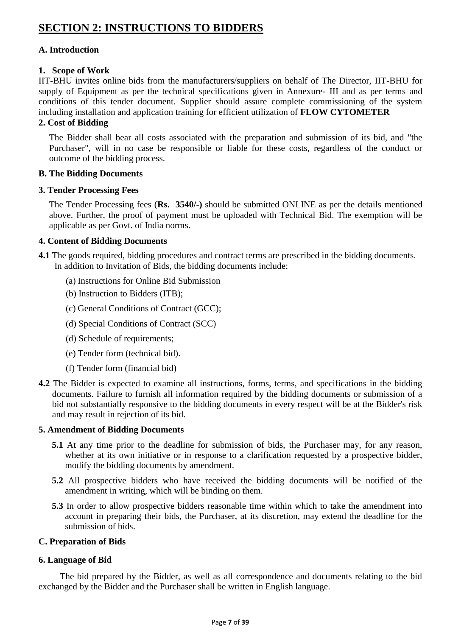# **SECTION 2: INSTRUCTIONS TO BIDDERS**

#### **A. Introduction**

#### **1. Scope of Work**

IIT-BHU invites online bids from the manufacturers/suppliers on behalf of The Director, IIT-BHU for supply of Equipment as per the technical specifications given in Annexure- III and as per terms and conditions of this tender document. Supplier should assure complete commissioning of the system including installation and application training for efficient utilization of **FLOW CYTOMETER**

#### **2. Cost of Bidding**

The Bidder shall bear all costs associated with the preparation and submission of its bid, and "the Purchaser", will in no case be responsible or liable for these costs, regardless of the conduct or outcome of the bidding process.

#### **B. The Bidding Documents**

#### **3. Tender Processing Fees**

The Tender Processing fees (**Rs. 3540/-)** should be submitted ONLINE as per the details mentioned above. Further, the proof of payment must be uploaded with Technical Bid. The exemption will be applicable as per Govt. of India norms.

#### **4. Content of Bidding Documents**

- **4.1** The goods required, bidding procedures and contract terms are prescribed in the bidding documents. In addition to Invitation of Bids, the bidding documents include:
	- (a) Instructions for Online Bid Submission
	- (b) Instruction to Bidders (ITB);
	- (c) General Conditions of Contract (GCC);
	- (d) Special Conditions of Contract (SCC)
	- (d) Schedule of requirements;
	- (e) Tender form (technical bid).
	- (f) Tender form (financial bid)
- **4.2** The Bidder is expected to examine all instructions, forms, terms, and specifications in the bidding documents. Failure to furnish all information required by the bidding documents or submission of a bid not substantially responsive to the bidding documents in every respect will be at the Bidder's risk and may result in rejection of its bid.

#### **5. Amendment of Bidding Documents**

- **5.1** At any time prior to the deadline for submission of bids, the Purchaser may, for any reason, whether at its own initiative or in response to a clarification requested by a prospective bidder, modify the bidding documents by amendment.
- **5.2** All prospective bidders who have received the bidding documents will be notified of the amendment in writing, which will be binding on them.
- **5.3** In order to allow prospective bidders reasonable time within which to take the amendment into account in preparing their bids, the Purchaser, at its discretion, may extend the deadline for the submission of bids.

#### **C. Preparation of Bids**

#### **6. Language of Bid**

The bid prepared by the Bidder, as well as all correspondence and documents relating to the bid exchanged by the Bidder and the Purchaser shall be written in English language.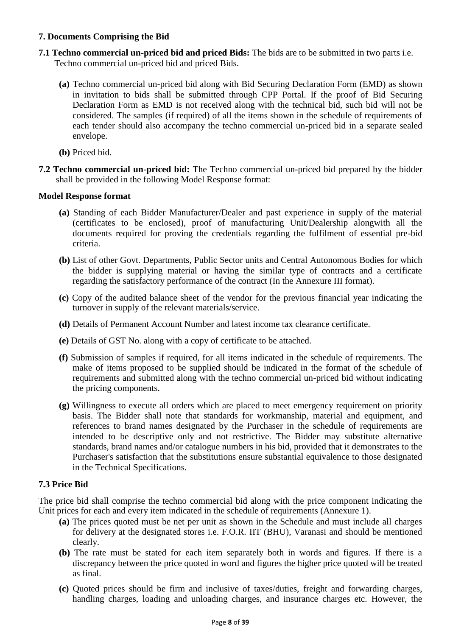#### **7. Documents Comprising the Bid**

- **7.1 Techno commercial un-priced bid and priced Bids:** The bids are to be submitted in two parts i.e. Techno commercial un-priced bid and priced Bids.
	- **(a)** Techno commercial un-priced bid along with Bid Securing Declaration Form (EMD) as shown in invitation to bids shall be submitted through CPP Portal. If the proof of Bid Securing Declaration Form as EMD is not received along with the technical bid, such bid will not be considered. The samples (if required) of all the items shown in the schedule of requirements of each tender should also accompany the techno commercial un-priced bid in a separate sealed envelope.
	- **(b)** Priced bid.
- **7.2 Techno commercial un-priced bid:** The Techno commercial un-priced bid prepared by the bidder shall be provided in the following Model Response format:

#### **Model Response format**

- **(a)** Standing of each Bidder Manufacturer/Dealer and past experience in supply of the material (certificates to be enclosed), proof of manufacturing Unit/Dealership alongwith all the documents required for proving the credentials regarding the fulfilment of essential pre-bid criteria.
- **(b)** List of other Govt. Departments, Public Sector units and Central Autonomous Bodies for which the bidder is supplying material or having the similar type of contracts and a certificate regarding the satisfactory performance of the contract (In the Annexure III format).
- **(c)** Copy of the audited balance sheet of the vendor for the previous financial year indicating the turnover in supply of the relevant materials/service.
- **(d)** Details of Permanent Account Number and latest income tax clearance certificate.
- **(e)** Details of GST No. along with a copy of certificate to be attached.
- **(f)** Submission of samples if required, for all items indicated in the schedule of requirements. The make of items proposed to be supplied should be indicated in the format of the schedule of requirements and submitted along with the techno commercial un-priced bid without indicating the pricing components.
- **(g)** Willingness to execute all orders which are placed to meet emergency requirement on priority basis. The Bidder shall note that standards for workmanship, material and equipment, and references to brand names designated by the Purchaser in the schedule of requirements are intended to be descriptive only and not restrictive. The Bidder may substitute alternative standards, brand names and/or catalogue numbers in his bid, provided that it demonstrates to the Purchaser's satisfaction that the substitutions ensure substantial equivalence to those designated in the Technical Specifications.

#### **7.3 Price Bid**

The price bid shall comprise the techno commercial bid along with the price component indicating the Unit prices for each and every item indicated in the schedule of requirements (Annexure 1).

- **(a)** The prices quoted must be net per unit as shown in the Schedule and must include all charges for delivery at the designated stores i.e. F.O.R. IIT (BHU), Varanasi and should be mentioned clearly.
- **(b)** The rate must be stated for each item separately both in words and figures. If there is a discrepancy between the price quoted in word and figures the higher price quoted will be treated as final.
- **(c)** Quoted prices should be firm and inclusive of taxes/duties, freight and forwarding charges, handling charges, loading and unloading charges, and insurance charges etc. However, the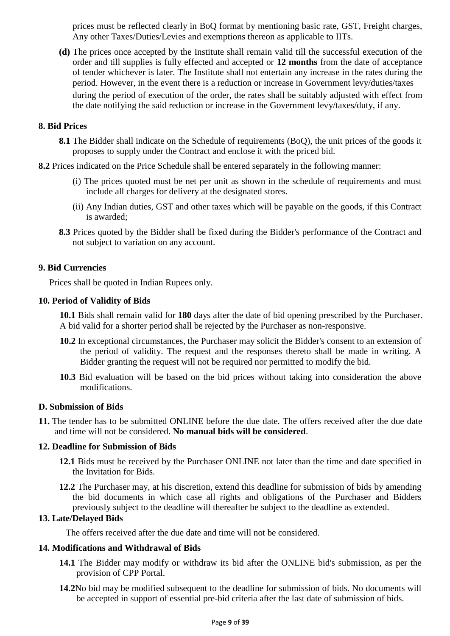prices must be reflected clearly in BoQ format by mentioning basic rate, GST, Freight charges, Any other Taxes/Duties/Levies and exemptions thereon as applicable to IITs.

**(d)** The prices once accepted by the Institute shall remain valid till the successful execution of the order and till supplies is fully effected and accepted or **12 months** from the date of acceptance of tender whichever is later. The Institute shall not entertain any increase in the rates during the period. However, in the event there is a reduction or increase in Government levy/duties/taxes during the period of execution of the order, the rates shall be suitably adjusted with effect from the date notifying the said reduction or increase in the Government levy/taxes/duty, if any.

#### **8. Bid Prices**

- **8.1** The Bidder shall indicate on the Schedule of requirements (BoQ), the unit prices of the goods it proposes to supply under the Contract and enclose it with the priced bid.
- **8.2** Prices indicated on the Price Schedule shall be entered separately in the following manner:
	- (i) The prices quoted must be net per unit as shown in the schedule of requirements and must include all charges for delivery at the designated stores.
	- (ii) Any Indian duties, GST and other taxes which will be payable on the goods, if this Contract is awarded;
	- **8.3** Prices quoted by the Bidder shall be fixed during the Bidder's performance of the Contract and not subject to variation on any account.

#### **9. Bid Currencies**

Prices shall be quoted in Indian Rupees only.

#### **10. Period of Validity of Bids**

**10.1** Bids shall remain valid for **180** days after the date of bid opening prescribed by the Purchaser. A bid valid for a shorter period shall be rejected by the Purchaser as non-responsive.

- **10.2** In exceptional circumstances, the Purchaser may solicit the Bidder's consent to an extension of the period of validity. The request and the responses thereto shall be made in writing. A Bidder granting the request will not be required nor permitted to modify the bid.
- **10.3** Bid evaluation will be based on the bid prices without taking into consideration the above modifications.

#### **D. Submission of Bids**

**11.** The tender has to be submitted ONLINE before the due date. The offers received after the due date and time will not be considered. **No manual bids will be considered**.

#### **12. Deadline for Submission of Bids**

- **12.1** Bids must be received by the Purchaser ONLINE not later than the time and date specified in the Invitation for Bids.
- **12.2** The Purchaser may, at his discretion, extend this deadline for submission of bids by amending the bid documents in which case all rights and obligations of the Purchaser and Bidders previously subject to the deadline will thereafter be subject to the deadline as extended.

#### **13. Late/Delayed Bids**

The offers received after the due date and time will not be considered.

#### **14. Modifications and Withdrawal of Bids**

- **14.1** The Bidder may modify or withdraw its bid after the ONLINE bid's submission, as per the provision of CPP Portal.
- **14.2**No bid may be modified subsequent to the deadline for submission of bids. No documents will be accepted in support of essential pre-bid criteria after the last date of submission of bids.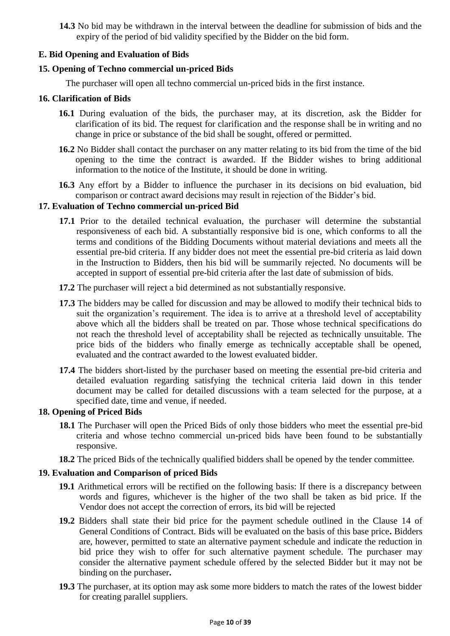**14.3** No bid may be withdrawn in the interval between the deadline for submission of bids and the expiry of the period of bid validity specified by the Bidder on the bid form.

#### **E. Bid Opening and Evaluation of Bids**

#### **15. Opening of Techno commercial un-priced Bids**

The purchaser will open all techno commercial un-priced bids in the first instance.

#### **16. Clarification of Bids**

- **16.1** During evaluation of the bids, the purchaser may, at its discretion, ask the Bidder for clarification of its bid. The request for clarification and the response shall be in writing and no change in price or substance of the bid shall be sought, offered or permitted.
- **16.2** No Bidder shall contact the purchaser on any matter relating to its bid from the time of the bid opening to the time the contract is awarded. If the Bidder wishes to bring additional information to the notice of the Institute, it should be done in writing.
- **16.3** Any effort by a Bidder to influence the purchaser in its decisions on bid evaluation, bid comparison or contract award decisions may result in rejection of the Bidder"s bid.

#### **17. Evaluation of Techno commercial un-priced Bid**

- **17.1** Prior to the detailed technical evaluation, the purchaser will determine the substantial responsiveness of each bid. A substantially responsive bid is one, which conforms to all the terms and conditions of the Bidding Documents without material deviations and meets all the essential pre-bid criteria. If any bidder does not meet the essential pre-bid criteria as laid down in the Instruction to Bidders, then his bid will be summarily rejected. No documents will be accepted in support of essential pre-bid criteria after the last date of submission of bids.
- **17.2** The purchaser will reject a bid determined as not substantially responsive.
- **17.3** The bidders may be called for discussion and may be allowed to modify their technical bids to suit the organization's requirement. The idea is to arrive at a threshold level of acceptability above which all the bidders shall be treated on par. Those whose technical specifications do not reach the threshold level of acceptability shall be rejected as technically unsuitable. The price bids of the bidders who finally emerge as technically acceptable shall be opened, evaluated and the contract awarded to the lowest evaluated bidder.
- **17.4** The bidders short-listed by the purchaser based on meeting the essential pre-bid criteria and detailed evaluation regarding satisfying the technical criteria laid down in this tender document may be called for detailed discussions with a team selected for the purpose, at a specified date, time and venue, if needed.

#### **18. Opening of Priced Bids**

- **18.1** The Purchaser will open the Priced Bids of only those bidders who meet the essential pre-bid criteria and whose techno commercial un-priced bids have been found to be substantially responsive.
- **18.2** The priced Bids of the technically qualified bidders shall be opened by the tender committee.

#### **19. Evaluation and Comparison of priced Bids**

- **19.1** Arithmetical errors will be rectified on the following basis: If there is a discrepancy between words and figures, whichever is the higher of the two shall be taken as bid price. If the Vendor does not accept the correction of errors, its bid will be rejected
- **19.2** Bidders shall state their bid price for the payment schedule outlined in the Clause 14 of General Conditions of Contract. Bids will be evaluated on the basis of this base price**.** Bidders are, however, permitted to state an alternative payment schedule and indicate the reduction in bid price they wish to offer for such alternative payment schedule. The purchaser may consider the alternative payment schedule offered by the selected Bidder but it may not be binding on the purchaser**.**
- **19.3** The purchaser, at its option may ask some more bidders to match the rates of the lowest bidder for creating parallel suppliers.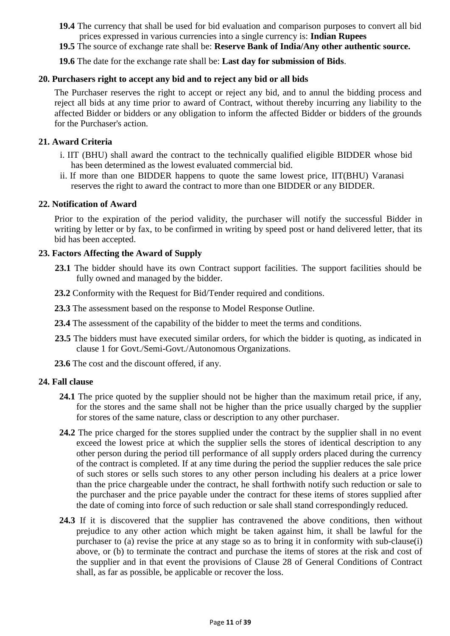- **19.4** The currency that shall be used for bid evaluation and comparison purposes to convert all bid prices expressed in various currencies into a single currency is: **Indian Rupees**
- **19.5** The source of exchange rate shall be: **Reserve Bank of India/Any other authentic source.**

**19.6** The date for the exchange rate shall be: **Last day for submission of Bids**.

#### **20. Purchasers right to accept any bid and to reject any bid or all bids**

The Purchaser reserves the right to accept or reject any bid, and to annul the bidding process and reject all bids at any time prior to award of Contract, without thereby incurring any liability to the affected Bidder or bidders or any obligation to inform the affected Bidder or bidders of the grounds for the Purchaser's action.

#### **21. Award Criteria**

- i. IIT (BHU) shall award the contract to the technically qualified eligible BIDDER whose bid has been determined as the lowest evaluated commercial bid.
- ii. If more than one BIDDER happens to quote the same lowest price, IIT(BHU) Varanasi reserves the right to award the contract to more than one BIDDER or any BIDDER.

#### **22. Notification of Award**

Prior to the expiration of the period validity, the purchaser will notify the successful Bidder in writing by letter or by fax, to be confirmed in writing by speed post or hand delivered letter, that its bid has been accepted.

#### **23. Factors Affecting the Award of Supply**

- 23.1 The bidder should have its own Contract support facilities. The support facilities should be fully owned and managed by the bidder.
- **23.2** Conformity with the Request for Bid/Tender required and conditions.
- **23.3** The assessment based on the response to Model Response Outline.
- **23.4** The assessment of the capability of the bidder to meet the terms and conditions.
- **23.5** The bidders must have executed similar orders, for which the bidder is quoting, as indicated in clause 1 for Govt./Semi-Govt./Autonomous Organizations.
- **23.6** The cost and the discount offered, if any.

#### **24. Fall clause**

- **24.1** The price quoted by the supplier should not be higher than the maximum retail price, if any, for the stores and the same shall not be higher than the price usually charged by the supplier for stores of the same nature, class or description to any other purchaser.
- **24.2** The price charged for the stores supplied under the contract by the supplier shall in no event exceed the lowest price at which the supplier sells the stores of identical description to any other person during the period till performance of all supply orders placed during the currency of the contract is completed. If at any time during the period the supplier reduces the sale price of such stores or sells such stores to any other person including his dealers at a price lower than the price chargeable under the contract, he shall forthwith notify such reduction or sale to the purchaser and the price payable under the contract for these items of stores supplied after the date of coming into force of such reduction or sale shall stand correspondingly reduced.
- **24.3** If it is discovered that the supplier has contravened the above conditions, then without prejudice to any other action which might be taken against him, it shall be lawful for the purchaser to (a) revise the price at any stage so as to bring it in conformity with sub-clause(i) above, or (b) to terminate the contract and purchase the items of stores at the risk and cost of the supplier and in that event the provisions of Clause 28 of General Conditions of Contract shall, as far as possible, be applicable or recover the loss.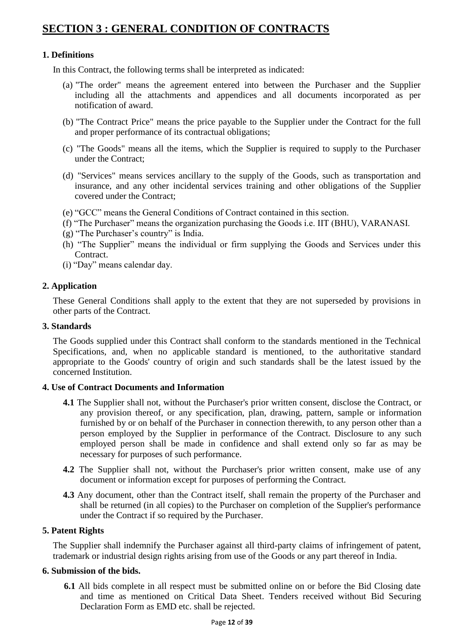# **SECTION 3 : GENERAL CONDITION OF CONTRACTS**

#### **1. Definitions**

In this Contract, the following terms shall be interpreted as indicated:

- (a) "The order" means the agreement entered into between the Purchaser and the Supplier including all the attachments and appendices and all documents incorporated as per notification of award.
- (b) "The Contract Price" means the price payable to the Supplier under the Contract for the full and proper performance of its contractual obligations;
- (c) "The Goods" means all the items, which the Supplier is required to supply to the Purchaser under the Contract;
- (d) "Services" means services ancillary to the supply of the Goods, such as transportation and insurance, and any other incidental services training and other obligations of the Supplier covered under the Contract;
- (e) "GCC" means the General Conditions of Contract contained in this section.
- (f) "The Purchaser" means the organization purchasing the Goods i.e. IIT (BHU), VARANASI.
- (g) "The Purchaser"s country" is India.
- (h) "The Supplier" means the individual or firm supplying the Goods and Services under this **Contract**
- (i) "Day" means calendar day.

#### **2. Application**

These General Conditions shall apply to the extent that they are not superseded by provisions in other parts of the Contract.

#### **3. Standards**

The Goods supplied under this Contract shall conform to the standards mentioned in the Technical Specifications, and, when no applicable standard is mentioned, to the authoritative standard appropriate to the Goods' country of origin and such standards shall be the latest issued by the concerned Institution.

#### **4. Use of Contract Documents and Information**

- **4.1** The Supplier shall not, without the Purchaser's prior written consent, disclose the Contract, or any provision thereof, or any specification, plan, drawing, pattern, sample or information furnished by or on behalf of the Purchaser in connection therewith, to any person other than a person employed by the Supplier in performance of the Contract. Disclosure to any such employed person shall be made in confidence and shall extend only so far as may be necessary for purposes of such performance.
- **4.2** The Supplier shall not, without the Purchaser's prior written consent, make use of any document or information except for purposes of performing the Contract.
- **4.3** Any document, other than the Contract itself, shall remain the property of the Purchaser and shall be returned (in all copies) to the Purchaser on completion of the Supplier's performance under the Contract if so required by the Purchaser.

#### **5. Patent Rights**

The Supplier shall indemnify the Purchaser against all third-party claims of infringement of patent, trademark or industrial design rights arising from use of the Goods or any part thereof in India.

#### **6. Submission of the bids.**

**6.1** All bids complete in all respect must be submitted online on or before the Bid Closing date and time as mentioned on Critical Data Sheet. Tenders received without Bid Securing Declaration Form as EMD etc. shall be rejected.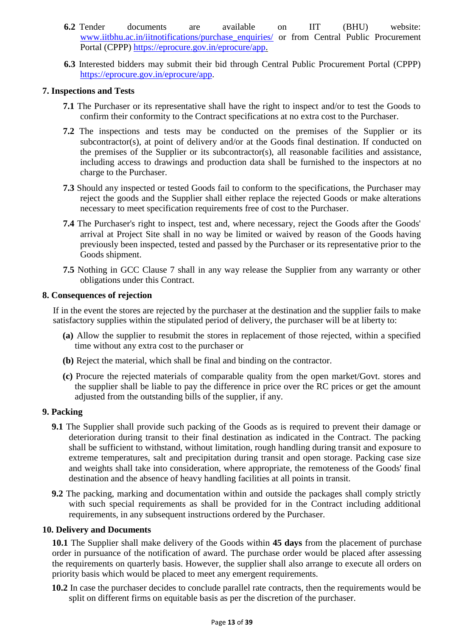- **6.2** Tender documents are available on IIT (BHU) website: [www.iitbhu.ac.in/iitnotifications/purchase\\_enquiries/](http://www.iitbhu.ac.in/iitnotifications/purchase_enquiries/) or from Central Public Procurement Portal (CPPP) [https://eprocure.gov.in/eprocure/app.](https://eprocure.gov.in/eprocure/app)
- **6.3** Interested bidders may submit their bid through Central Public Procurement Portal (CPPP) [https://eprocure.gov.in/eprocure/app.](https://eprocure.gov.in/eprocure/app)

#### **7. Inspections and Tests**

- **7.1** The Purchaser or its representative shall have the right to inspect and/or to test the Goods to confirm their conformity to the Contract specifications at no extra cost to the Purchaser.
- **7.2** The inspections and tests may be conducted on the premises of the Supplier or its subcontractor(s), at point of delivery and/or at the Goods final destination. If conducted on the premises of the Supplier or its subcontractor(s), all reasonable facilities and assistance, including access to drawings and production data shall be furnished to the inspectors at no charge to the Purchaser.
- **7.3** Should any inspected or tested Goods fail to conform to the specifications, the Purchaser may reject the goods and the Supplier shall either replace the rejected Goods or make alterations necessary to meet specification requirements free of cost to the Purchaser.
- **7.4** The Purchaser's right to inspect, test and, where necessary, reject the Goods after the Goods' arrival at Project Site shall in no way be limited or waived by reason of the Goods having previously been inspected, tested and passed by the Purchaser or its representative prior to the Goods shipment.
- **7.5** Nothing in GCC Clause 7 shall in any way release the Supplier from any warranty or other obligations under this Contract.

#### **8. Consequences of rejection**

If in the event the stores are rejected by the purchaser at the destination and the supplier fails to make satisfactory supplies within the stipulated period of delivery, the purchaser will be at liberty to:

- **(a)** Allow the supplier to resubmit the stores in replacement of those rejected, within a specified time without any extra cost to the purchaser or
- **(b)** Reject the material, which shall be final and binding on the contractor.
- **(c)** Procure the rejected materials of comparable quality from the open market/Govt. stores and the supplier shall be liable to pay the difference in price over the RC prices or get the amount adjusted from the outstanding bills of the supplier, if any.

#### **9. Packing**

- **9.1** The Supplier shall provide such packing of the Goods as is required to prevent their damage or deterioration during transit to their final destination as indicated in the Contract. The packing shall be sufficient to withstand, without limitation, rough handling during transit and exposure to extreme temperatures, salt and precipitation during transit and open storage. Packing case size and weights shall take into consideration, where appropriate, the remoteness of the Goods' final destination and the absence of heavy handling facilities at all points in transit.
- **9.2** The packing, marking and documentation within and outside the packages shall comply strictly with such special requirements as shall be provided for in the Contract including additional requirements, in any subsequent instructions ordered by the Purchaser.

#### **10. Delivery and Documents**

**10.1** The Supplier shall make delivery of the Goods within **45 days** from the placement of purchase order in pursuance of the notification of award. The purchase order would be placed after assessing the requirements on quarterly basis. However, the supplier shall also arrange to execute all orders on priority basis which would be placed to meet any emergent requirements.

**10.2** In case the purchaser decides to conclude parallel rate contracts, then the requirements would be split on different firms on equitable basis as per the discretion of the purchaser.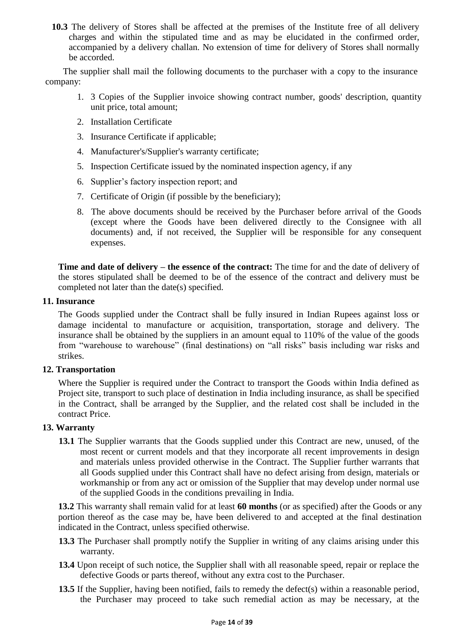**10.3** The delivery of Stores shall be affected at the premises of the Institute free of all delivery charges and within the stipulated time and as may be elucidated in the confirmed order, accompanied by a delivery challan. No extension of time for delivery of Stores shall normally be accorded.

The supplier shall mail the following documents to the purchaser with a copy to the insurance company:

- 1. 3 Copies of the Supplier invoice showing contract number, goods' description, quantity unit price, total amount;
- 2. Installation Certificate
- 3. Insurance Certificate if applicable;
- 4. Manufacturer's/Supplier's warranty certificate;
- 5. Inspection Certificate issued by the nominated inspection agency, if any
- 6. Supplier"s factory inspection report; and
- 7. Certificate of Origin (if possible by the beneficiary);
- 8. The above documents should be received by the Purchaser before arrival of the Goods (except where the Goods have been delivered directly to the Consignee with all documents) and, if not received, the Supplier will be responsible for any consequent expenses.

**Time and date of delivery – the essence of the contract:** The time for and the date of delivery of the stores stipulated shall be deemed to be of the essence of the contract and delivery must be completed not later than the date(s) specified.

#### **11. Insurance**

The Goods supplied under the Contract shall be fully insured in Indian Rupees against loss or damage incidental to manufacture or acquisition, transportation, storage and delivery. The insurance shall be obtained by the suppliers in an amount equal to 110% of the value of the goods from "warehouse to warehouse" (final destinations) on "all risks" basis including war risks and strikes.

#### **12. Transportation**

Where the Supplier is required under the Contract to transport the Goods within India defined as Project site, transport to such place of destination in India including insurance, as shall be specified in the Contract, shall be arranged by the Supplier, and the related cost shall be included in the contract Price.

#### **13. Warranty**

**13.1** The Supplier warrants that the Goods supplied under this Contract are new, unused, of the most recent or current models and that they incorporate all recent improvements in design and materials unless provided otherwise in the Contract. The Supplier further warrants that all Goods supplied under this Contract shall have no defect arising from design, materials or workmanship or from any act or omission of the Supplier that may develop under normal use of the supplied Goods in the conditions prevailing in India.

**13.2** This warranty shall remain valid for at least **60 months** (or as specified) after the Goods or any portion thereof as the case may be, have been delivered to and accepted at the final destination indicated in the Contract, unless specified otherwise.

- **13.3** The Purchaser shall promptly notify the Supplier in writing of any claims arising under this warranty.
- **13.4** Upon receipt of such notice, the Supplier shall with all reasonable speed, repair or replace the defective Goods or parts thereof, without any extra cost to the Purchaser.
- **13.5** If the Supplier, having been notified, fails to remedy the defect(s) within a reasonable period, the Purchaser may proceed to take such remedial action as may be necessary, at the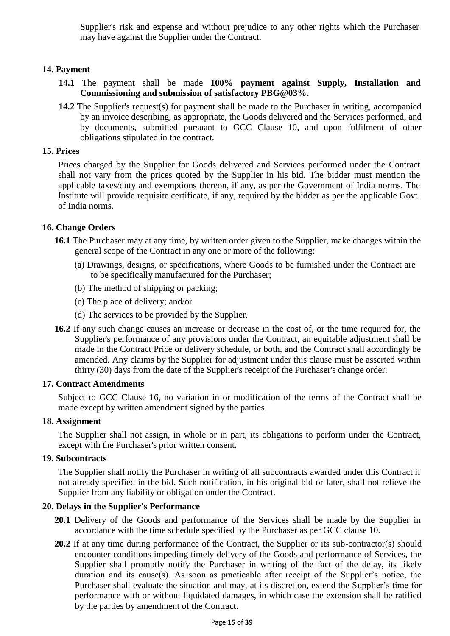Supplier's risk and expense and without prejudice to any other rights which the Purchaser may have against the Supplier under the Contract.

#### **14. Payment**

- **14.1** The payment shall be made **100% payment against Supply, Installation and Commissioning and submission of satisfactory PBG@03%.**
- **14.2** The Supplier's request(s) for payment shall be made to the Purchaser in writing, accompanied by an invoice describing, as appropriate, the Goods delivered and the Services performed, and by documents, submitted pursuant to GCC Clause 10, and upon fulfilment of other obligations stipulated in the contract.

#### **15. Prices**

Prices charged by the Supplier for Goods delivered and Services performed under the Contract shall not vary from the prices quoted by the Supplier in his bid. The bidder must mention the applicable taxes/duty and exemptions thereon, if any, as per the Government of India norms. The Institute will provide requisite certificate, if any, required by the bidder as per the applicable Govt. of India norms.

#### **16. Change Orders**

- **16.1** The Purchaser may at any time, by written order given to the Supplier, make changes within the general scope of the Contract in any one or more of the following:
	- (a) Drawings, designs, or specifications, where Goods to be furnished under the Contract are to be specifically manufactured for the Purchaser;
	- (b) The method of shipping or packing;
	- (c) The place of delivery; and/or
	- (d) The services to be provided by the Supplier.
- **16.2** If any such change causes an increase or decrease in the cost of, or the time required for, the Supplier's performance of any provisions under the Contract, an equitable adjustment shall be made in the Contract Price or delivery schedule, or both, and the Contract shall accordingly be amended. Any claims by the Supplier for adjustment under this clause must be asserted within thirty (30) days from the date of the Supplier's receipt of the Purchaser's change order.

#### **17. Contract Amendments**

Subject to GCC Clause 16, no variation in or modification of the terms of the Contract shall be made except by written amendment signed by the parties.

#### **18. Assignment**

The Supplier shall not assign, in whole or in part, its obligations to perform under the Contract, except with the Purchaser's prior written consent.

#### **19. Subcontracts**

The Supplier shall notify the Purchaser in writing of all subcontracts awarded under this Contract if not already specified in the bid. Such notification, in his original bid or later, shall not relieve the Supplier from any liability or obligation under the Contract.

#### **20. Delays in the Supplier's Performance**

- 20.1 Delivery of the Goods and performance of the Services shall be made by the Supplier in accordance with the time schedule specified by the Purchaser as per GCC clause 10.
- **20.2** If at any time during performance of the Contract, the Supplier or its sub-contractor(s) should encounter conditions impeding timely delivery of the Goods and performance of Services, the Supplier shall promptly notify the Purchaser in writing of the fact of the delay, its likely duration and its cause(s). As soon as practicable after receipt of the Supplier's notice, the Purchaser shall evaluate the situation and may, at its discretion, extend the Supplier's time for performance with or without liquidated damages, in which case the extension shall be ratified by the parties by amendment of the Contract.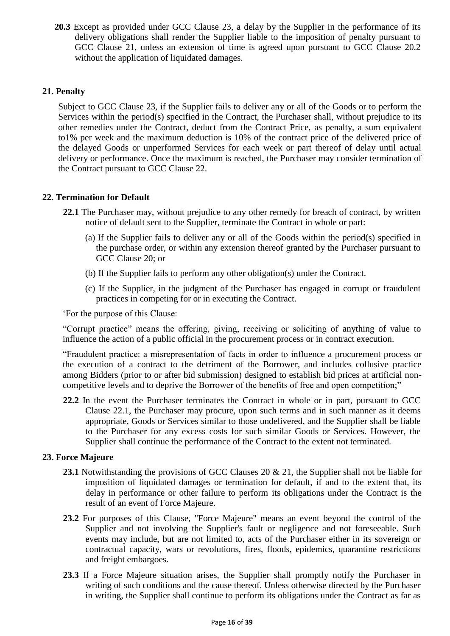**20.3** Except as provided under GCC Clause 23, a delay by the Supplier in the performance of its delivery obligations shall render the Supplier liable to the imposition of penalty pursuant to GCC Clause 21, unless an extension of time is agreed upon pursuant to GCC Clause 20.2 without the application of liquidated damages.

#### **21. Penalty**

Subject to GCC Clause 23, if the Supplier fails to deliver any or all of the Goods or to perform the Services within the period(s) specified in the Contract, the Purchaser shall, without prejudice to its other remedies under the Contract, deduct from the Contract Price, as penalty, a sum equivalent to1% per week and the maximum deduction is 10% of the contract price of the delivered price of the delayed Goods or unperformed Services for each week or part thereof of delay until actual delivery or performance. Once the maximum is reached, the Purchaser may consider termination of the Contract pursuant to GCC Clause 22.

#### **22. Termination for Default**

- **22.1** The Purchaser may, without prejudice to any other remedy for breach of contract, by written notice of default sent to the Supplier, terminate the Contract in whole or part:
	- (a) If the Supplier fails to deliver any or all of the Goods within the period(s) specified in the purchase order, or within any extension thereof granted by the Purchaser pursuant to GCC Clause 20; or
	- (b) If the Supplier fails to perform any other obligation(s) under the Contract.
	- (c) If the Supplier, in the judgment of the Purchaser has engaged in corrupt or fraudulent practices in competing for or in executing the Contract.

"For the purpose of this Clause:

"Corrupt practice" means the offering, giving, receiving or soliciting of anything of value to influence the action of a public official in the procurement process or in contract execution.

"Fraudulent practice: a misrepresentation of facts in order to influence a procurement process or the execution of a contract to the detriment of the Borrower, and includes collusive practice among Bidders (prior to or after bid submission) designed to establish bid prices at artificial noncompetitive levels and to deprive the Borrower of the benefits of free and open competition;"

**22.2** In the event the Purchaser terminates the Contract in whole or in part, pursuant to GCC Clause 22.1, the Purchaser may procure, upon such terms and in such manner as it deems appropriate, Goods or Services similar to those undelivered, and the Supplier shall be liable to the Purchaser for any excess costs for such similar Goods or Services. However, the Supplier shall continue the performance of the Contract to the extent not terminated.

#### **23. Force Majeure**

- **23.1** Notwithstanding the provisions of GCC Clauses 20 & 21, the Supplier shall not be liable for imposition of liquidated damages or termination for default, if and to the extent that, its delay in performance or other failure to perform its obligations under the Contract is the result of an event of Force Majeure.
- **23.2** For purposes of this Clause, "Force Majeure" means an event beyond the control of the Supplier and not involving the Supplier's fault or negligence and not foreseeable. Such events may include, but are not limited to, acts of the Purchaser either in its sovereign or contractual capacity, wars or revolutions, fires, floods, epidemics, quarantine restrictions and freight embargoes.
- **23.3** If a Force Majeure situation arises, the Supplier shall promptly notify the Purchaser in writing of such conditions and the cause thereof. Unless otherwise directed by the Purchaser in writing, the Supplier shall continue to perform its obligations under the Contract as far as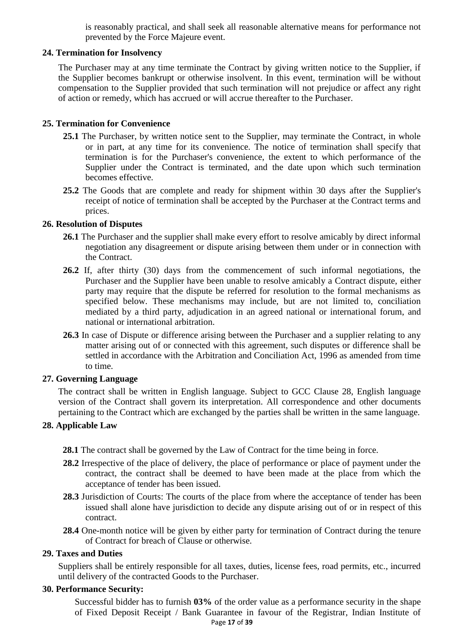is reasonably practical, and shall seek all reasonable alternative means for performance not prevented by the Force Majeure event.

#### **24. Termination for Insolvency**

The Purchaser may at any time terminate the Contract by giving written notice to the Supplier, if the Supplier becomes bankrupt or otherwise insolvent. In this event, termination will be without compensation to the Supplier provided that such termination will not prejudice or affect any right of action or remedy, which has accrued or will accrue thereafter to the Purchaser.

#### **25. Termination for Convenience**

- **25.1** The Purchaser, by written notice sent to the Supplier, may terminate the Contract, in whole or in part, at any time for its convenience. The notice of termination shall specify that termination is for the Purchaser's convenience, the extent to which performance of the Supplier under the Contract is terminated, and the date upon which such termination becomes effective.
- **25.2** The Goods that are complete and ready for shipment within 30 days after the Supplier's receipt of notice of termination shall be accepted by the Purchaser at the Contract terms and prices.

#### **26. Resolution of Disputes**

- **26.1** The Purchaser and the supplier shall make every effort to resolve amicably by direct informal negotiation any disagreement or dispute arising between them under or in connection with the Contract.
- **26.2** If, after thirty (30) days from the commencement of such informal negotiations, the Purchaser and the Supplier have been unable to resolve amicably a Contract dispute, either party may require that the dispute be referred for resolution to the formal mechanisms as specified below. These mechanisms may include, but are not limited to, conciliation mediated by a third party, adjudication in an agreed national or international forum, and national or international arbitration.
- **26.3** In case of Dispute or difference arising between the Purchaser and a supplier relating to any matter arising out of or connected with this agreement, such disputes or difference shall be settled in accordance with the Arbitration and Conciliation Act, 1996 as amended from time to time.

#### **27. Governing Language**

The contract shall be written in English language. Subject to GCC Clause 28, English language version of the Contract shall govern its interpretation. All correspondence and other documents pertaining to the Contract which are exchanged by the parties shall be written in the same language.

#### **28. Applicable Law**

- **28.1** The contract shall be governed by the Law of Contract for the time being in force.
- **28.2** Irrespective of the place of delivery, the place of performance or place of payment under the contract, the contract shall be deemed to have been made at the place from which the acceptance of tender has been issued.
- **28.3** Jurisdiction of Courts: The courts of the place from where the acceptance of tender has been issued shall alone have jurisdiction to decide any dispute arising out of or in respect of this contract.
- **28.4** One-month notice will be given by either party for termination of Contract during the tenure of Contract for breach of Clause or otherwise.

#### **29. Taxes and Duties**

Suppliers shall be entirely responsible for all taxes, duties, license fees, road permits, etc., incurred until delivery of the contracted Goods to the Purchaser.

#### **30. Performance Security:**

Page **17** of **39** Successful bidder has to furnish **03%** of the order value as a performance security in the shape of Fixed Deposit Receipt / Bank Guarantee in favour of the Registrar, Indian Institute of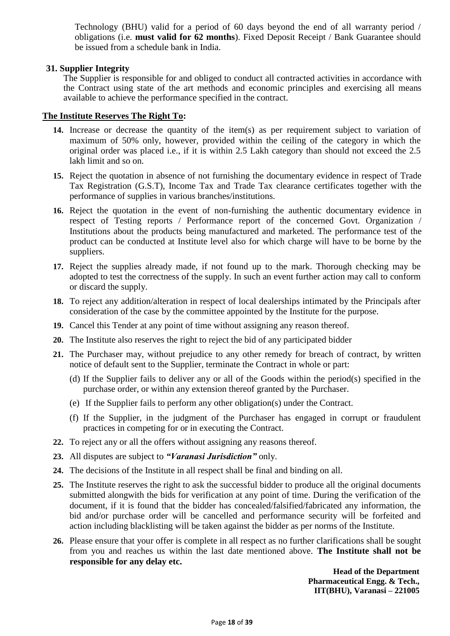Technology (BHU) valid for a period of 60 days beyond the end of all warranty period / obligations (i.e. **must valid for 62 months**). Fixed Deposit Receipt / Bank Guarantee should be issued from a schedule bank in India.

#### **31. Supplier Integrity**

The Supplier is responsible for and obliged to conduct all contracted activities in accordance with the Contract using state of the art methods and economic principles and exercising all means available to achieve the performance specified in the contract.

#### **The Institute Reserves The Right To:**

- **14.** Increase or decrease the quantity of the item(s) as per requirement subject to variation of maximum of 50% only, however, provided within the ceiling of the category in which the original order was placed i.e., if it is within 2.5 Lakh category than should not exceed the 2.5 lakh limit and so on.
- **15.** Reject the quotation in absence of not furnishing the documentary evidence in respect of Trade Tax Registration (G.S.T), Income Tax and Trade Tax clearance certificates together with the performance of supplies in various branches/institutions.
- **16.** Reject the quotation in the event of non-furnishing the authentic documentary evidence in respect of Testing reports / Performance report of the concerned Govt. Organization / Institutions about the products being manufactured and marketed. The performance test of the product can be conducted at Institute level also for which charge will have to be borne by the suppliers.
- **17.** Reject the supplies already made, if not found up to the mark. Thorough checking may be adopted to test the correctness of the supply. In such an event further action may call to conform or discard the supply.
- **18.** To reject any addition/alteration in respect of local dealerships intimated by the Principals after consideration of the case by the committee appointed by the Institute for the purpose.
- **19.** Cancel this Tender at any point of time without assigning any reason thereof.
- **20.** The Institute also reserves the right to reject the bid of any participated bidder
- **21.** The Purchaser may, without prejudice to any other remedy for breach of contract, by written notice of default sent to the Supplier, terminate the Contract in whole or part:
	- (d) If the Supplier fails to deliver any or all of the Goods within the period(s) specified in the purchase order, or within any extension thereof granted by the Purchaser.
	- (e) If the Supplier fails to perform any other obligation(s) under the Contract.
	- (f) If the Supplier, in the judgment of the Purchaser has engaged in corrupt or fraudulent practices in competing for or in executing the Contract.
- **22.** To reject any or all the offers without assigning any reasons thereof.
- **23.** All disputes are subject to *"Varanasi Jurisdiction"* only.
- **24.** The decisions of the Institute in all respect shall be final and binding on all.
- **25.** The Institute reserves the right to ask the successful bidder to produce all the original documents submitted alongwith the bids for verification at any point of time. During the verification of the document, if it is found that the bidder has concealed/falsified/fabricated any information, the bid and/or purchase order will be cancelled and performance security will be forfeited and action including blacklisting will be taken against the bidder as per norms of the Institute.
- **26.** Please ensure that your offer is complete in all respect as no further clarifications shall be sought from you and reaches us within the last date mentioned above. **The Institute shall not be responsible for any delay etc.**

**Head of the Department Pharmaceutical Engg. & Tech., IIT(BHU), Varanasi – 221005**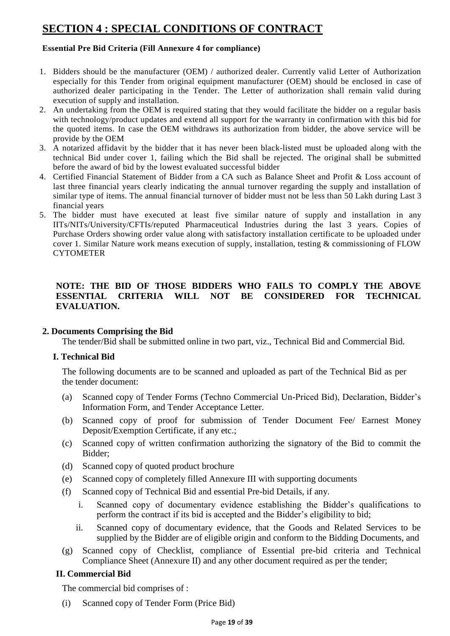# **SECTION 4 : SPECIAL CONDITIONS OF CONTRACT**

#### **Essential Pre Bid Criteria (Fill Annexure 4 for compliance)**

- 1. Bidders should be the manufacturer (OEM) / authorized dealer. Currently valid Letter of Authorization especially for this Tender from original equipment manufacturer (OEM) should be enclosed in case of authorized dealer participating in the Tender. The Letter of authorization shall remain valid during execution of supply and installation.
- 2. An undertaking from the OEM is required stating that they would facilitate the bidder on a regular basis with technology/product updates and extend all support for the warranty in confirmation with this bid for the quoted items. In case the OEM withdraws its authorization from bidder, the above service will be provide by the OEM
- 3. A notarized affidavit by the bidder that it has never been black-listed must be uploaded along with the technical Bid under cover 1, failing which the Bid shall be rejected. The original shall be submitted before the award of bid by the lowest evaluated successful bidder
- 4. Certified Financial Statement of Bidder from a CA such as Balance Sheet and Profit & Loss account of last three financial years clearly indicating the annual turnover regarding the supply and installation of similar type of items. The annual financial turnover of bidder must not be less than 50 Lakh during Last 3 financial years
- 5. The bidder must have executed at least five similar nature of supply and installation in any IITs/NITs/University/CFTIs/reputed Pharmaceutical Industries during the last 3 years. Copies of Purchase Orders showing order value along with satisfactory installation certificate to be uploaded under cover 1. Similar Nature work means execution of supply, installation, testing & commissioning of FLOW **CYTOMETER**

#### **NOTE: THE BID OF THOSE BIDDERS WHO FAILS TO COMPLY THE ABOVE ESSENTIAL CRITERIA WILL NOT BE CONSIDERED FOR TECHNICAL EVALUATION.**

#### **2. Documents Comprising the Bid**

The tender/Bid shall be submitted online in two part, viz., Technical Bid and Commercial Bid.

#### **I. Technical Bid**

The following documents are to be scanned and uploaded as part of the Technical Bid as per the tender document:

- (a) Scanned copy of Tender Forms (Techno Commercial Un-Priced Bid), Declaration, Bidder"s Information Form, and Tender Acceptance Letter.
- (b) Scanned copy of proof for submission of Tender Document Fee/ Earnest Money Deposit/Exemption Certificate, if any etc.;
- (c) Scanned copy of written confirmation authorizing the signatory of the Bid to commit the Bidder;
- (d) Scanned copy of quoted product brochure
- (e) Scanned copy of completely filled Annexure III with supporting documents
- (f) Scanned copy of Technical Bid and essential Pre-bid Details, if any.
	- i. Scanned copy of documentary evidence establishing the Bidder"s qualifications to perform the contract if its bid is accepted and the Bidder"s eligibility to bid;
	- ii. Scanned copy of documentary evidence, that the Goods and Related Services to be supplied by the Bidder are of eligible origin and conform to the Bidding Documents, and
- (g) Scanned copy of Checklist, compliance of Essential pre-bid criteria and Technical Compliance Sheet (Annexure II) and any other document required as per the tender;

#### **II. Commercial Bid**

The commercial bid comprises of :

(i) Scanned copy of Tender Form (Price Bid)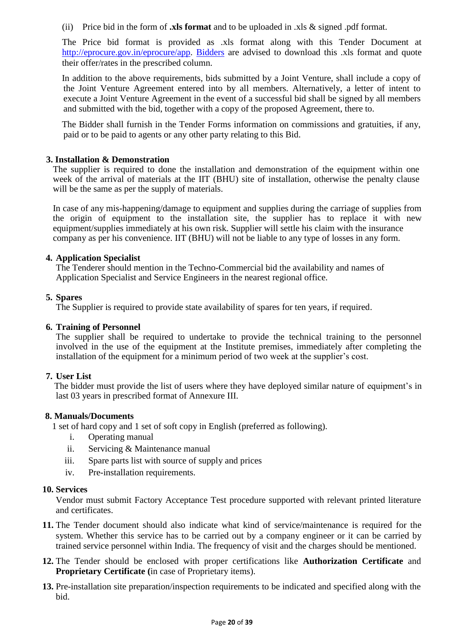(ii) Price bid in the form of **.xls format** and to be uploaded in .xls & signed .pdf format.

The Price bid format is provided as .xls format along with this Tender Document at [http://eprocure.gov.in/eprocure/app. B](http://eprocure.gov.in/eprocure/app)idders are advised to download this .xls format and quote their offer/rates in the prescribed column.

In addition to the above requirements, bids submitted by a Joint Venture, shall include a copy of the Joint Venture Agreement entered into by all members. Alternatively, a letter of intent to execute a Joint Venture Agreement in the event of a successful bid shall be signed by all members and submitted with the bid, together with a copy of the proposed Agreement, there to.

The Bidder shall furnish in the Tender Forms information on commissions and gratuities, if any, paid or to be paid to agents or any other party relating to this Bid.

#### **3. Installation & Demonstration**

The supplier is required to done the installation and demonstration of the equipment within one week of the arrival of materials at the IIT (BHU) site of installation, otherwise the penalty clause will be the same as per the supply of materials.

In case of any mis-happening/damage to equipment and supplies during the carriage of supplies from the origin of equipment to the installation site, the supplier has to replace it with new equipment/supplies immediately at his own risk. Supplier will settle his claim with the insurance company as per his convenience. IIT (BHU) will not be liable to any type of losses in any form.

#### **4. Application Specialist**

The Tenderer should mention in the Techno-Commercial bid the availability and names of Application Specialist and Service Engineers in the nearest regional office.

#### **5. Spares**

The Supplier is required to provide state availability of spares for ten years, if required.

#### **6. Training of Personnel**

The supplier shall be required to undertake to provide the technical training to the personnel involved in the use of the equipment at the Institute premises, immediately after completing the installation of the equipment for a minimum period of two week at the supplier's cost.

#### **7. User List**

The bidder must provide the list of users where they have deployed similar nature of equipment's in last 03 years in prescribed format of Annexure III.

#### **8. Manuals/Documents**

1 set of hard copy and 1 set of soft copy in English (preferred as following).

- i. Operating manual
- ii. Servicing & Maintenance manual
- iii. Spare parts list with source of supply and prices
- iv. Pre-installation requirements.

#### **10. Services**

Vendor must submit Factory Acceptance Test procedure supported with relevant printed literature and certificates.

- **11.** The Tender document should also indicate what kind of service/maintenance is required for the system. Whether this service has to be carried out by a company engineer or it can be carried by trained service personnel within India. The frequency of visit and the charges should be mentioned.
- **12.** The Tender should be enclosed with proper certifications like **Authorization Certificate** and **Proprietary Certificate (**in case of Proprietary items).
- **13.** Pre-installation site preparation/inspection requirements to be indicated and specified along with the bid.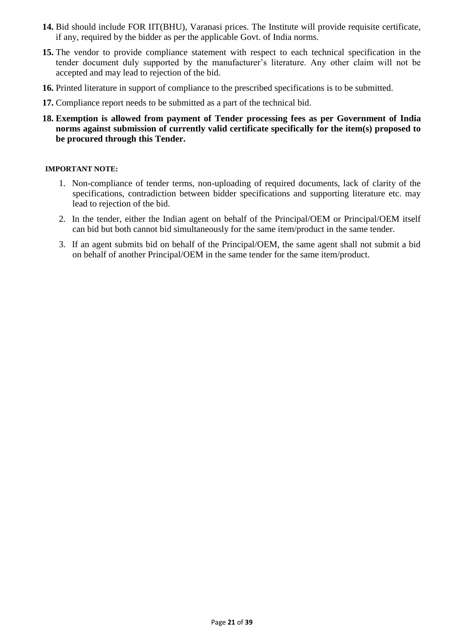- **14.** Bid should include FOR IIT(BHU), Varanasi prices. The Institute will provide requisite certificate, if any, required by the bidder as per the applicable Govt. of India norms.
- **15.** The vendor to provide compliance statement with respect to each technical specification in the tender document duly supported by the manufacturer's literature. Any other claim will not be accepted and may lead to rejection of the bid.
- **16.** Printed literature in support of compliance to the prescribed specifications is to be submitted.
- **17.** Compliance report needs to be submitted as a part of the technical bid.
- **18. Exemption is allowed from payment of Tender processing fees as per Government of India norms against submission of currently valid certificate specifically for the item(s) proposed to be procured through this Tender.**

#### **IMPORTANT NOTE:**

- 1. Non-compliance of tender terms, non-uploading of required documents, lack of clarity of the specifications, contradiction between bidder specifications and supporting literature etc. may lead to rejection of the bid.
- 2. In the tender, either the Indian agent on behalf of the Principal/OEM or Principal/OEM itself can bid but both cannot bid simultaneously for the same item/product in the same tender.
- 3. If an agent submits bid on behalf of the Principal/OEM, the same agent shall not submit a bid on behalf of another Principal/OEM in the same tender for the same item/product.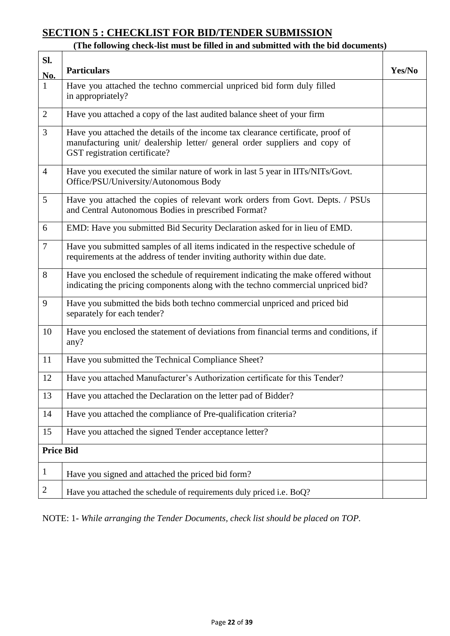# **SECTION 5 : CHECKLIST FOR BID/TENDER SUBMISSION**

#### **(The following check-list must be filled in and submitted with the bid documents)**

| SI.              |                                                                                                                                                                                                |        |
|------------------|------------------------------------------------------------------------------------------------------------------------------------------------------------------------------------------------|--------|
| No.              | <b>Particulars</b>                                                                                                                                                                             | Yes/No |
| $\mathbf{1}$     | Have you attached the techno commercial unpriced bid form duly filled<br>in appropriately?                                                                                                     |        |
| $\overline{2}$   | Have you attached a copy of the last audited balance sheet of your firm                                                                                                                        |        |
| 3                | Have you attached the details of the income tax clearance certificate, proof of<br>manufacturing unit/ dealership letter/ general order suppliers and copy of<br>GST registration certificate? |        |
| $\overline{4}$   | Have you executed the similar nature of work in last 5 year in IITs/NITs/Govt.<br>Office/PSU/University/Autonomous Body                                                                        |        |
| 5                | Have you attached the copies of relevant work orders from Govt. Depts. / PSUs<br>and Central Autonomous Bodies in prescribed Format?                                                           |        |
| 6                | EMD: Have you submitted Bid Security Declaration asked for in lieu of EMD.                                                                                                                     |        |
| $\overline{7}$   | Have you submitted samples of all items indicated in the respective schedule of<br>requirements at the address of tender inviting authority within due date.                                   |        |
| 8                | Have you enclosed the schedule of requirement indicating the make offered without<br>indicating the pricing components along with the techno commercial unpriced bid?                          |        |
| 9                | Have you submitted the bids both techno commercial unpriced and priced bid<br>separately for each tender?                                                                                      |        |
| 10               | Have you enclosed the statement of deviations from financial terms and conditions, if<br>any?                                                                                                  |        |
| 11               | Have you submitted the Technical Compliance Sheet?                                                                                                                                             |        |
| 12               | Have you attached Manufacturer's Authorization certificate for this Tender?                                                                                                                    |        |
| 13               | Have you attached the Declaration on the letter pad of Bidder?                                                                                                                                 |        |
| 14               | Have you attached the compliance of Pre-qualification criteria?                                                                                                                                |        |
| 15               | Have you attached the signed Tender acceptance letter?                                                                                                                                         |        |
| <b>Price Bid</b> |                                                                                                                                                                                                |        |
| $\mathbf{1}$     | Have you signed and attached the priced bid form?                                                                                                                                              |        |
| 2                | Have you attached the schedule of requirements duly priced i.e. BoQ?                                                                                                                           |        |

NOTE: 1- *While arranging the Tender Documents, check list should be placed on TOP.*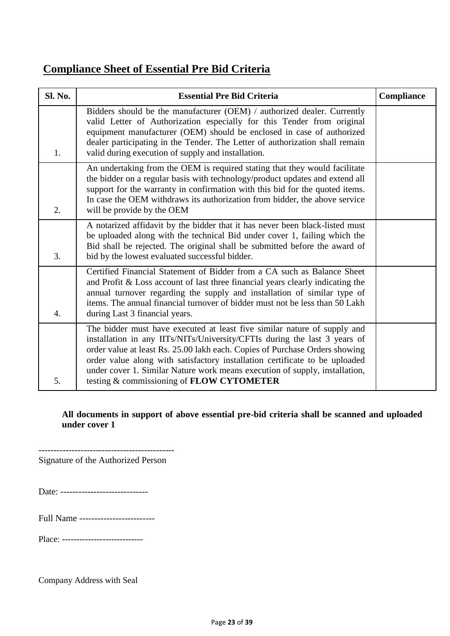# **Compliance Sheet of Essential Pre Bid Criteria**

| <b>Sl. No.</b>   | <b>Essential Pre Bid Criteria</b>                                                                                                                                                                                                                                                                                                                                                                                                               | Compliance |
|------------------|-------------------------------------------------------------------------------------------------------------------------------------------------------------------------------------------------------------------------------------------------------------------------------------------------------------------------------------------------------------------------------------------------------------------------------------------------|------------|
| 1.               | Bidders should be the manufacturer (OEM) / authorized dealer. Currently<br>valid Letter of Authorization especially for this Tender from original<br>equipment manufacturer (OEM) should be enclosed in case of authorized<br>dealer participating in the Tender. The Letter of authorization shall remain<br>valid during execution of supply and installation.                                                                                |            |
| $\overline{2}$ . | An undertaking from the OEM is required stating that they would facilitate<br>the bidder on a regular basis with technology/product updates and extend all<br>support for the warranty in confirmation with this bid for the quoted items.<br>In case the OEM withdraws its authorization from bidder, the above service<br>will be provide by the OEM                                                                                          |            |
| 3.               | A notarized affidavit by the bidder that it has never been black-listed must<br>be uploaded along with the technical Bid under cover 1, failing which the<br>Bid shall be rejected. The original shall be submitted before the award of<br>bid by the lowest evaluated successful bidder.                                                                                                                                                       |            |
| 4.               | Certified Financial Statement of Bidder from a CA such as Balance Sheet<br>and Profit & Loss account of last three financial years clearly indicating the<br>annual turnover regarding the supply and installation of similar type of<br>items. The annual financial turnover of bidder must not be less than 50 Lakh<br>during Last 3 financial years.                                                                                         |            |
| 5.               | The bidder must have executed at least five similar nature of supply and<br>installation in any IITs/NITs/University/CFTIs during the last 3 years of<br>order value at least Rs. 25.00 lakh each. Copies of Purchase Orders showing<br>order value along with satisfactory installation certificate to be uploaded<br>under cover 1. Similar Nature work means execution of supply, installation,<br>testing & commissioning of FLOW CYTOMETER |            |

#### **All documents in support of above essential pre-bid criteria shall be scanned and uploaded under cover 1**

--------------------------------------------- Signature of the Authorized Person

Date: -------------------------------

Full Name -------------------------

Place: ----------------------------

Company Address with Seal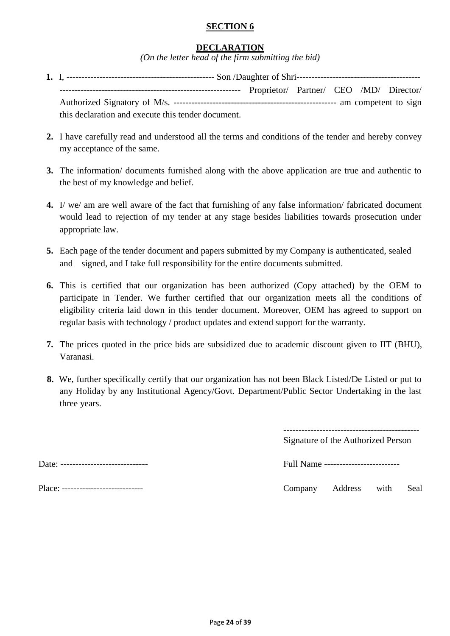#### **SECTION 6**

#### **DECLARATION**

*(On the letter head of the firm submitting the bid)*

- **1.** I, ------------------------------------------------- Son /Daughter of Shri----------------------------------------- ------------------------------------------------------------ Proprietor/ Partner/ CEO /MD/ Director/ Authorized Signatory of M/s. ------------------------------------------------------ am competent to sign this declaration and execute this tender document.
- **2.** I have carefully read and understood all the terms and conditions of the tender and hereby convey my acceptance of the same.
- **3.** The information/ documents furnished along with the above application are true and authentic to the best of my knowledge and belief.
- **4.** I/ we/ am are well aware of the fact that furnishing of any false information/ fabricated document would lead to rejection of my tender at any stage besides liabilities towards prosecution under appropriate law.
- **5.** Each page of the tender document and papers submitted by my Company is authenticated, sealed and signed, and I take full responsibility for the entire documents submitted.
- **6.** This is certified that our organization has been authorized (Copy attached) by the OEM to participate in Tender. We further certified that our organization meets all the conditions of eligibility criteria laid down in this tender document. Moreover, OEM has agreed to support on regular basis with technology / product updates and extend support for the warranty.
- **7.** The prices quoted in the price bids are subsidized due to academic discount given to IIT (BHU), Varanasi.
- **8.** We, further specifically certify that our organization has not been Black Listed/De Listed or put to any Holiday by any Institutional Agency/Govt. Department/Public Sector Undertaking in the last three years.

---------------------------------------------

Signature of the Authorized Person

Date: ----------------------------- Full Name -------------------------

Company Address with Seal

| ----------------<br>--<br>--------<br>- - |
|-------------------------------------------|
|                                           |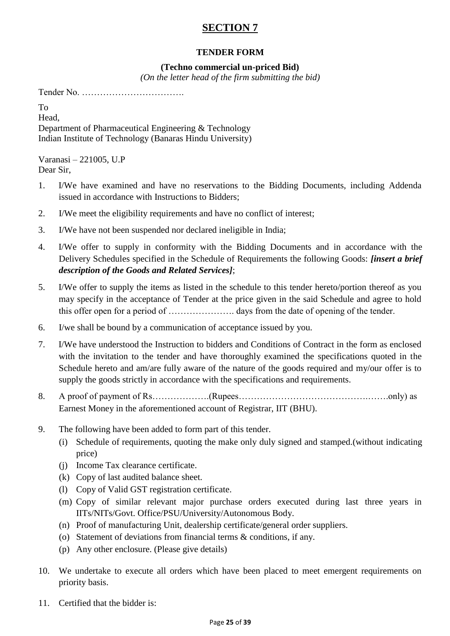# **SECTION 7**

### **TENDER FORM**

#### **(Techno commercial un-priced Bid)**

*(On the letter head of the firm submitting the bid)*

Tender No. …………………………….

To Head, Department of Pharmaceutical Engineering & Technology Indian Institute of Technology (Banaras Hindu University)

Varanasi – 221005, U.P Dear Sir,

- 1. I/We have examined and have no reservations to the Bidding Documents, including Addenda issued in accordance with Instructions to Bidders;
- 2. I/We meet the eligibility requirements and have no conflict of interest;
- 3. I/We have not been suspended nor declared ineligible in India;
- 4. I/We offer to supply in conformity with the Bidding Documents and in accordance with the Delivery Schedules specified in the Schedule of Requirements the following Goods: *[insert a brief description of the Goods and Related Services]*;
- 5. I/We offer to supply the items as listed in the schedule to this tender hereto/portion thereof as you may specify in the acceptance of Tender at the price given in the said Schedule and agree to hold this offer open for a period of …………………. days from the date of opening of the tender.
- 6. I/we shall be bound by a communication of acceptance issued by you.
- 7. I/We have understood the Instruction to bidders and Conditions of Contract in the form as enclosed with the invitation to the tender and have thoroughly examined the specifications quoted in the Schedule hereto and am/are fully aware of the nature of the goods required and my/our offer is to supply the goods strictly in accordance with the specifications and requirements.
- 8. A proof of payment of Rs……………….(Rupees…………………………………….…….only) as Earnest Money in the aforementioned account of Registrar, IIT (BHU).
- 9. The following have been added to form part of this tender.
	- (i) Schedule of requirements, quoting the make only duly signed and stamped.(without indicating price)
	- (j) Income Tax clearance certificate.
	- (k) Copy of last audited balance sheet.
	- (l) Copy of Valid GST registration certificate.
	- (m) Copy of similar relevant major purchase orders executed during last three years in IITs/NITs/Govt. Office/PSU/University/Autonomous Body.
	- (n) Proof of manufacturing Unit, dealership certificate/general order suppliers.
	- (o) Statement of deviations from financial terms & conditions, if any.
	- (p) Any other enclosure. (Please give details)
- 10. We undertake to execute all orders which have been placed to meet emergent requirements on priority basis.
- 11. Certified that the bidder is: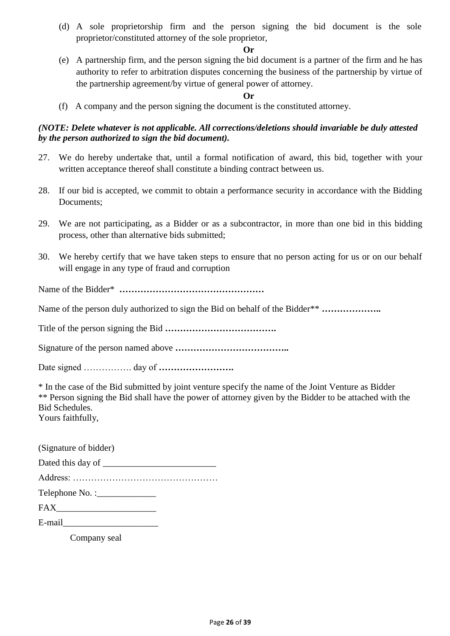(d) A sole proprietorship firm and the person signing the bid document is the sole proprietor/constituted attorney of the sole proprietor,

#### **Or**

(e) A partnership firm, and the person signing the bid document is a partner of the firm and he has authority to refer to arbitration disputes concerning the business of the partnership by virtue of the partnership agreement/by virtue of general power of attorney.

#### **Or**

(f) A company and the person signing the document is the constituted attorney.

#### *(NOTE: Delete whatever is not applicable. All corrections/deletions should invariable be duly attested by the person authorized to sign the bid document).*

- 27. We do hereby undertake that, until a formal notification of award, this bid, together with your written acceptance thereof shall constitute a binding contract between us.
- 28. If our bid is accepted, we commit to obtain a performance security in accordance with the Bidding Documents;
- 29. We are not participating, as a Bidder or as a subcontractor, in more than one bid in this bidding process, other than alternative bids submitted;
- 30. We hereby certify that we have taken steps to ensure that no person acting for us or on our behalf will engage in any type of fraud and corruption

Name of the Bidder\* **…………………………………………**

Name of the person duly authorized to sign the Bid on behalf of the Bidder\*\* **………………..**

Title of the person signing the Bid **……………………………….**

Signature of the person named above **………………………………..**

Date signed ……………. day of **…………………….**

\* In the case of the Bid submitted by joint venture specify the name of the Joint Venture as Bidder \*\* Person signing the Bid shall have the power of attorney given by the Bidder to be attached with the Bid Schedules.

Yours faithfully,

| (Signature of bidder)           |  |
|---------------------------------|--|
|                                 |  |
|                                 |  |
|                                 |  |
|                                 |  |
| E-mail <u>contract the mail</u> |  |

Company seal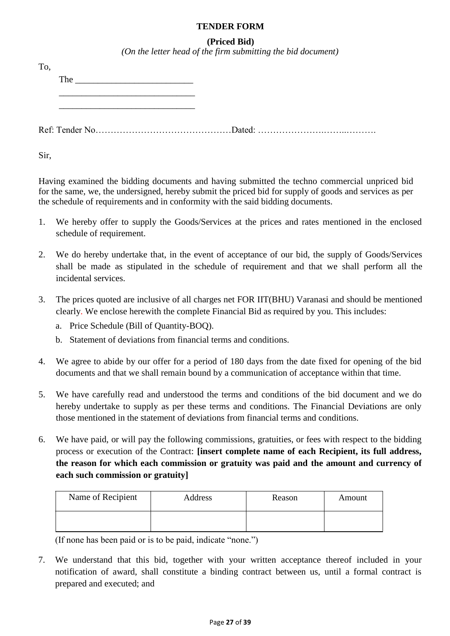#### **TENDER FORM**

#### **(Priced Bid)**

*(On the letter head of the firm submitting the bid document)*

| To. |                              |  |
|-----|------------------------------|--|
|     | The $\overline{\phantom{a}}$ |  |
|     |                              |  |
|     |                              |  |

Sir,

Having examined the bidding documents and having submitted the techno commercial unpriced bid for the same, we, the undersigned, hereby submit the priced bid for supply of goods and services as per the schedule of requirements and in conformity with the said bidding documents.

- 1. We hereby offer to supply the Goods/Services at the prices and rates mentioned in the enclosed schedule of requirement.
- 2. We do hereby undertake that, in the event of acceptance of our bid, the supply of Goods/Services shall be made as stipulated in the schedule of requirement and that we shall perform all the incidental services.
- 3. The prices quoted are inclusive of all charges net FOR IIT(BHU) Varanasi and should be mentioned clearly. We enclose herewith the complete Financial Bid as required by you. This includes:
	- a. Price Schedule (Bill of Quantity-BOQ).
	- b. Statement of deviations from financial terms and conditions.
- 4. We agree to abide by our offer for a period of 180 days from the date fixed for opening of the bid documents and that we shall remain bound by a communication of acceptance within that time.
- 5. We have carefully read and understood the terms and conditions of the bid document and we do hereby undertake to supply as per these terms and conditions. The Financial Deviations are only those mentioned in the statement of deviations from financial terms and conditions.
- 6. We have paid, or will pay the following commissions, gratuities, or fees with respect to the bidding process or execution of the Contract: **[insert complete name of each Recipient, its full address, the reason for which each commission or gratuity was paid and the amount and currency of each such commission or gratuity]**

| Name of Recipient | Address | Reason | Amount |
|-------------------|---------|--------|--------|
|                   |         |        |        |

(If none has been paid or is to be paid, indicate "none.")

7. We understand that this bid, together with your written acceptance thereof included in your notification of award, shall constitute a binding contract between us, until a formal contract is prepared and executed; and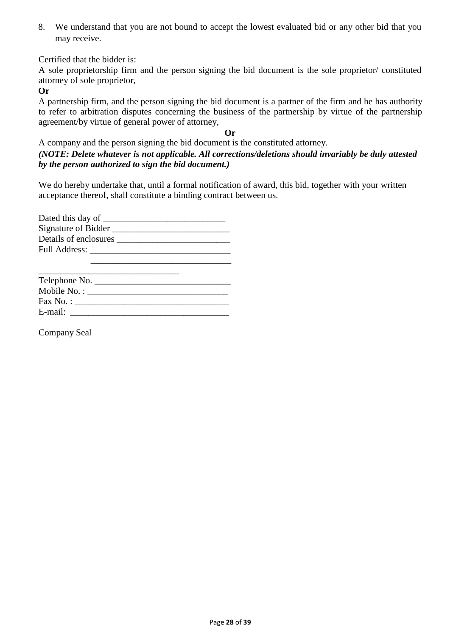8. We understand that you are not bound to accept the lowest evaluated bid or any other bid that you may receive.

Certified that the bidder is:

A sole proprietorship firm and the person signing the bid document is the sole proprietor/ constituted attorney of sole proprietor,

**Or**

A partnership firm, and the person signing the bid document is a partner of the firm and he has authority to refer to arbitration disputes concerning the business of the partnership by virtue of the partnership agreement/by virtue of general power of attorney,

**Or**

A company and the person signing the bid document is the constituted attorney. *(NOTE: Delete whatever is not applicable. All corrections/deletions should invariably be duly attested by the person authorized to sign the bid document.)*

We do hereby undertake that, until a formal notification of award, this bid, together with your written acceptance thereof, shall constitute a binding contract between us.

| Dated this day of ______ |
|--------------------------|
| Signature of Bidder      |
| Details of enclosures    |
| <b>Full Address:</b>     |
|                          |

| $\text{Fax No.}:$ |  |
|-------------------|--|
| E-mail:           |  |

Company Seal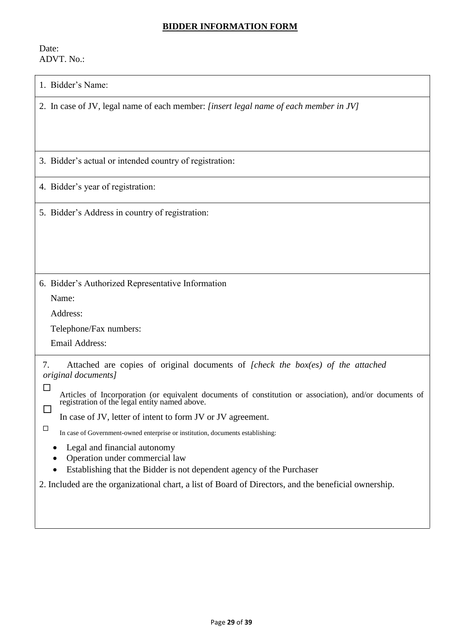#### **BIDDER INFORMATION FORM**

Date: ADVT. No.:

|  | 1. Bidder's Name: |
|--|-------------------|
|--|-------------------|

2. In case of JV, legal name of each member: *[insert legal name of each member in JV]*

3. Bidder"s actual or intended country of registration:

4. Bidder"s year of registration:

5. Bidder"s Address in country of registration:

6. Bidder"s Authorized Representative Information

Name:

 $\Box$ 

Address:

Telephone/Fax numbers:

Email Address:

7. Attached are copies of original documents of *[check the box(es) of the attached original documents]*

П Articles of Incorporation (or equivalent documents of constitution or association), and/or documents of registration of the legal entity named above.  $\Box$ 

In case of JV, letter of intent to form JV or JV agreement.

In case of Government-owned enterprise or institution, documents establishing:

- Legal and financial autonomy
- Operation under commercial law
- Establishing that the Bidder is not dependent agency of the Purchaser

2. Included are the organizational chart, a list of Board of Directors, and the beneficial ownership.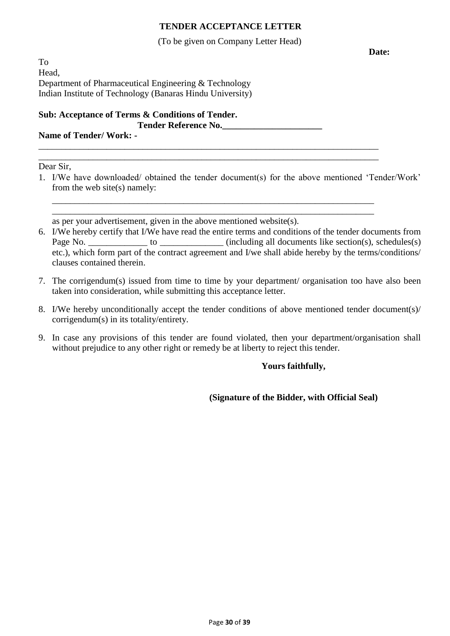#### **TENDER ACCEPTANCE LETTER**

#### (To be given on Company Letter Head)

To Head, Department of Pharmaceutical Engineering & Technology Indian Institute of Technology (Banaras Hindu University)

#### **Sub: Acceptance of Terms & Conditions of Tender. Tender Reference No.\_\_\_\_\_\_\_\_\_\_\_\_\_\_\_\_\_\_\_\_\_\_**

#### **Name of Tender/ Work: -** \_\_\_\_\_\_\_\_\_\_\_\_\_\_\_\_\_\_\_\_\_\_\_\_\_\_\_\_\_\_\_\_\_\_\_\_\_\_\_\_\_\_\_\_\_\_\_\_\_\_\_\_\_\_\_\_\_\_\_\_\_\_\_\_\_\_\_\_\_\_\_\_\_\_\_

Dear Sir,

1. I/We have downloaded/ obtained the tender document(s) for the above mentioned "Tender/Work" from the web site(s) namely:

\_\_\_\_\_\_\_\_\_\_\_\_\_\_\_\_\_\_\_\_\_\_\_\_\_\_\_\_\_\_\_\_\_\_\_\_\_\_\_\_\_\_\_\_\_\_\_\_\_\_\_\_\_\_\_\_\_\_\_\_\_\_\_\_\_\_\_\_\_\_\_\_\_\_\_

\_\_\_\_\_\_\_\_\_\_\_\_\_\_\_\_\_\_\_\_\_\_\_\_\_\_\_\_\_\_\_\_\_\_\_\_\_\_\_\_\_\_\_\_\_\_\_\_\_\_\_\_\_\_\_\_\_\_\_\_\_\_\_\_\_\_\_\_\_\_\_

\_\_\_\_\_\_\_\_\_\_\_\_\_\_\_\_\_\_\_\_\_\_\_\_\_\_\_\_\_\_\_\_\_\_\_\_\_\_\_\_\_\_\_\_\_\_\_\_\_\_\_\_\_\_\_\_\_\_\_\_\_\_\_\_\_\_\_\_\_\_\_ as per your advertisement, given in the above mentioned website(s).

- 6. I/We hereby certify that I/We have read the entire terms and conditions of the tender documents from Page No. \_\_\_\_\_\_\_\_\_\_\_\_\_\_\_ to \_\_\_\_\_\_\_\_\_\_\_\_\_\_ (including all documents like section(s), schedules(s) etc.), which form part of the contract agreement and I/we shall abide hereby by the terms/conditions/ clauses contained therein.
- 7. The corrigendum(s) issued from time to time by your department/ organisation too have also been taken into consideration, while submitting this acceptance letter.
- 8. I/We hereby unconditionally accept the tender conditions of above mentioned tender document(s)/ corrigendum(s) in its totality/entirety.
- 9. In case any provisions of this tender are found violated, then your department/organisation shall without prejudice to any other right or remedy be at liberty to reject this tender.

### **Yours faithfully,**

**(Signature of the Bidder, with Official Seal)**

**Date:**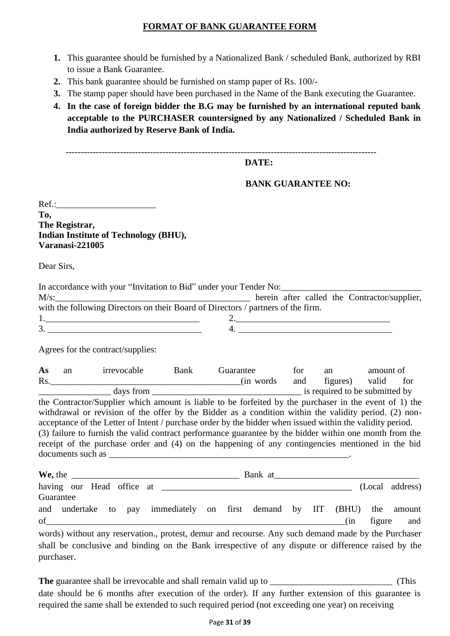#### **FORMAT OF BANK GUARANTEE FORM**

- **1.** This guarantee should be furnished by a Nationalized Bank / scheduled Bank, authorized by RBI to issue a Bank Guarantee.
- **2.** This bank guarantee should be furnished on stamp paper of Rs. 100/-
- **3.** The stamp paper should have been purchased in the Name of the Bank executing the Guarantee.
- **4. In the case of foreign bidder the B.G may be furnished by an international reputed bank acceptable to the PURCHASER countersigned by any Nationalized / Scheduled Bank in India authorized by Reserve Bank of India.**

-------------------------------------------------------------------------------------------------------

#### **DATE:**

**BANK GUARANTEE NO:**

 $Ref.:$ **To, The Registrar, Indian Institute of Technology (BHU), Varanasi-221005**

Dear Sirs,

|            |                                   | In accordance with your "Invitation to Bid" under your Tender No:                                                                                                                                                                                                                                                        |           |     |  |    |           |                 |
|------------|-----------------------------------|--------------------------------------------------------------------------------------------------------------------------------------------------------------------------------------------------------------------------------------------------------------------------------------------------------------------------|-----------|-----|--|----|-----------|-----------------|
|            |                                   | with the following Directors on their Board of Directors / partners of the firm.                                                                                                                                                                                                                                         |           |     |  |    |           |                 |
|            |                                   |                                                                                                                                                                                                                                                                                                                          |           |     |  |    |           |                 |
|            |                                   |                                                                                                                                                                                                                                                                                                                          |           |     |  |    |           |                 |
|            | Agrees for the contract/supplies: |                                                                                                                                                                                                                                                                                                                          |           |     |  |    |           |                 |
| As         |                                   | an irrevocable Bank                                                                                                                                                                                                                                                                                                      | Guarantee | for |  | an | amount of | for             |
|            |                                   |                                                                                                                                                                                                                                                                                                                          |           |     |  |    |           |                 |
|            |                                   | acceptance of the Letter of Intent / purchase order by the bidder when issued within the validity period.<br>(3) failure to furnish the valid contract performance guarantee by the bidder within one month from the<br>receipt of the purchase order and (4) on the happening of any contingencies mentioned in the bid |           |     |  |    |           |                 |
|            |                                   |                                                                                                                                                                                                                                                                                                                          |           |     |  |    |           |                 |
| Guarantee  |                                   |                                                                                                                                                                                                                                                                                                                          |           |     |  |    |           | (Local address) |
|            |                                   | and undertake to pay immediately on first demand by IIT (BHU) the amount<br>$of$ (in                                                                                                                                                                                                                                     |           |     |  |    | figure    | and             |
| purchaser. |                                   | words) without any reservation., protest, demur and recourse. Any such demand made by the Purchaser<br>shall be conclusive and binding on the Bank irrespective of any dispute or difference raised by the                                                                                                               |           |     |  |    |           |                 |

**The** guarantee shall be irrevocable and shall remain valid up to \_\_\_\_\_\_\_\_\_\_\_\_\_\_\_\_\_\_\_\_\_\_\_\_\_\_\_ (This date should be 6 months after execution of the order). If any further extension of this guarantee is required the same shall be extended to such required period (not exceeding one year) on receiving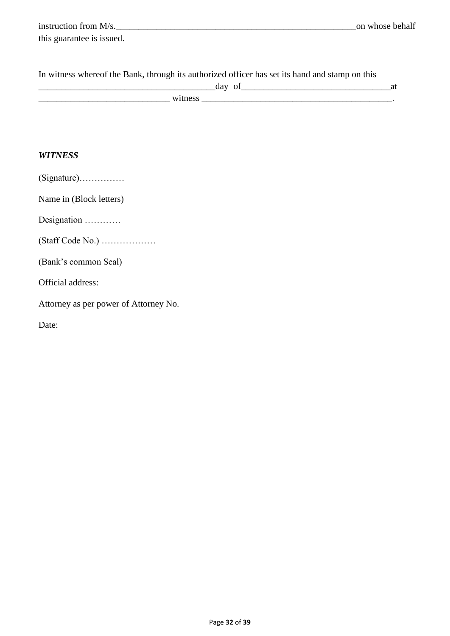| instruction from M/s.     | on whose behalf |
|---------------------------|-----------------|
| this guarantee is issued. |                 |

| In witness whereof the Bank, through its authorized officer has set its hand and stamp on this |  |
|------------------------------------------------------------------------------------------------|--|
| day of                                                                                         |  |
| witness                                                                                        |  |

### *WITNESS*

|  |  |  |  | $(Signature)$ |
|--|--|--|--|---------------|

Name in (Block letters)

Designation …………

(Staff Code No.) ………………

(Bank"s common Seal)

Official address:

Attorney as per power of Attorney No.

Date: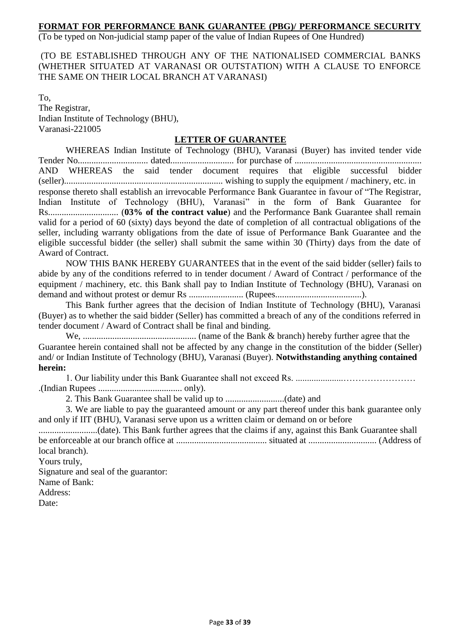#### **FORMAT FOR PERFORMANCE BANK GUARANTEE (PBG)/ PERFORMANCE SECURITY**

(To be typed on Non-judicial stamp paper of the value of Indian Rupees of One Hundred)

(TO BE ESTABLISHED THROUGH ANY OF THE NATIONALISED COMMERCIAL BANKS (WHETHER SITUATED AT VARANASI OR OUTSTATION) WITH A CLAUSE TO ENFORCE THE SAME ON THEIR LOCAL BRANCH AT VARANASI)

To, The Registrar, Indian Institute of Technology (BHU), Varanasi-221005

#### **LETTER OF GUARANTEE**

WHEREAS Indian Institute of Technology (BHU), Varanasi (Buyer) has invited tender vide Tender No............................... dated............................ for purchase of ........................................................ AND WHEREAS the said tender document requires that eligible successful bidder (seller)...................................................................... wishing to supply the equipment / machinery, etc. in response thereto shall establish an irrevocable Performance Bank Guarantee in favour of "The Registrar, Indian Institute of Technology (BHU), Varanasi" in the form of Bank Guarantee for Rs............................... (**03% of the contract value**) and the Performance Bank Guarantee shall remain valid for a period of 60 (sixty) days beyond the date of completion of all contractual obligations of the seller, including warranty obligations from the date of issue of Performance Bank Guarantee and the eligible successful bidder (the seller) shall submit the same within 30 (Thirty) days from the date of Award of Contract.

NOW THIS BANK HEREBY GUARANTEES that in the event of the said bidder (seller) fails to abide by any of the conditions referred to in tender document / Award of Contract / performance of the equipment / machinery, etc. this Bank shall pay to Indian Institute of Technology (BHU), Varanasi on demand and without protest or demur Rs ........................ (Rupees......................................).

This Bank further agrees that the decision of Indian Institute of Technology (BHU), Varanasi (Buyer) as to whether the said bidder (Seller) has committed a breach of any of the conditions referred in tender document / Award of Contract shall be final and binding.

We, .................................................. (name of the Bank & branch) hereby further agree that the Guarantee herein contained shall not be affected by any change in the constitution of the bidder (Seller) and/ or Indian Institute of Technology (BHU), Varanasi (Buyer). **Notwithstanding anything contained herein:**

1. Our liability under this Bank Guarantee shall not exceed Rs. .....................…………………… .(Indian Rupees ..................................... only).

2. This Bank Guarantee shall be valid up to ..........................(date) and

3. We are liable to pay the guaranteed amount or any part thereof under this bank guarantee only and only if IIT (BHU), Varanasi serve upon us a written claim or demand on or before

..........................(date). This Bank further agrees that the claims if any, against this Bank Guarantee shall be enforceable at our branch office at ........................................ situated at .............................. (Address of local branch).

Yours truly,

Signature and seal of the guarantor:

Name of Bank:

Address:

Date: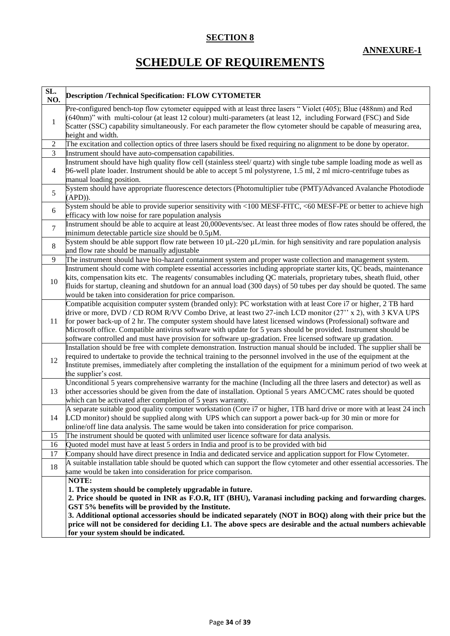### **SECTION 8**

# **SCHEDULE OF REQUIREMENTS**

| SL.<br>NO.     | <b>Description /Technical Specification: FLOW CYTOMETER</b>                                                                                                                                                                                                                                                                                                                                                                                                                                                                                                                       |
|----------------|-----------------------------------------------------------------------------------------------------------------------------------------------------------------------------------------------------------------------------------------------------------------------------------------------------------------------------------------------------------------------------------------------------------------------------------------------------------------------------------------------------------------------------------------------------------------------------------|
| $\mathbf{1}$   | Pre-configured bench-top flow cytometer equipped with at least three lasers "Violet (405); Blue (488nm) and Red<br>(640nm)" with multi-colour (at least 12 colour) multi-parameters (at least 12, including Forward (FSC) and Side<br>Scatter (SSC) capability simultaneously. For each parameter the flow cytometer should be capable of measuring area,<br>height and width.                                                                                                                                                                                                    |
| $\sqrt{2}$     | The excitation and collection optics of three lasers should be fixed requiring no alignment to be done by operator.                                                                                                                                                                                                                                                                                                                                                                                                                                                               |
| 3              | Instrument should have auto-compensation capabilities.                                                                                                                                                                                                                                                                                                                                                                                                                                                                                                                            |
| $\overline{4}$ | Instrument should have high quality flow cell (stainless steel/ quartz) with single tube sample loading mode as well as<br>96-well plate loader. Instrument should be able to accept 5 ml polystyrene, 1.5 ml, 2 ml micro-centrifuge tubes as<br>manual loading position.                                                                                                                                                                                                                                                                                                         |
| 5              | System should have appropriate fluorescence detectors (Photomultiplier tube (PMT)/Advanced Avalanche Photodiode<br>$(APD)$ ).                                                                                                                                                                                                                                                                                                                                                                                                                                                     |
| 6              | System should be able to provide superior sensitivity with <100 MESF-FITC, <60 MESF-PE or better to achieve high<br>efficacy with low noise for rare population analysis                                                                                                                                                                                                                                                                                                                                                                                                          |
| $\overline{7}$ | Instrument should be able to acquire at least 20,000events/sec. At least three modes of flow rates should be offered, the<br>minimum detectable particle size should be 0.5µM.                                                                                                                                                                                                                                                                                                                                                                                                    |
| $\,8\,$        | System should be able support flow rate between 10 $\mu$ L-220 $\mu$ L/min. for high sensitivity and rare population analysis<br>and flow rate should be manually adjustable                                                                                                                                                                                                                                                                                                                                                                                                      |
| 9              | The instrument should have bio-hazard containment system and proper waste collection and management system.                                                                                                                                                                                                                                                                                                                                                                                                                                                                       |
| 10             | Instrument should come with complete essential accessories including appropriate starter kits, QC beads, maintenance<br>kits, compensation kits etc. The reagents/consumables including QC materials, proprietary tubes, sheath fluid, other<br>fluids for startup, cleaning and shutdown for an annual load (300 days) of 50 tubes per day should be quoted. The same<br>would be taken into consideration for price comparison.                                                                                                                                                 |
| 11             | Compatible acquisition computer system (branded only): PC workstation with at least Core i7 or higher, 2 TB hard<br>drive or more, DVD / CD ROM R/VV Combo Drive, at least two 27-inch LCD monitor (27" x 2), with 3 KVA UPS<br>for power back-up of 2 hr. The computer system should have latest licensed windows (Professional) software and<br>Microsoft office. Compatible antivirus software with update for 5 years should be provided. Instrument should be<br>software controlled and must have provision for software up-gradation. Free licensed software up gradation. |
| 12             | Installation should be free with complete demonstration. Instruction manual should be included. The supplier shall be<br>required to undertake to provide the technical training to the personnel involved in the use of the equipment at the<br>Institute premises, immediately after completing the installation of the equipment for a minimum period of two week at<br>the supplier's cost.                                                                                                                                                                                   |
| 13             | Unconditional 5 years comprehensive warranty for the machine (Including all the three lasers and detector) as well as<br>other accessories should be given from the date of installation. Optional 5 years AMC/CMC rates should be quoted<br>which can be activated after completion of 5 years warranty.                                                                                                                                                                                                                                                                         |
| 14             | A separate suitable good quality computer workstation (Core i7 or higher, 1TB hard drive or more with at least 24 inch<br>LCD monitor) should be supplied along with UPS which can support a power back-up for 30 min or more for<br>online/off line data analysis. The same would be taken into consideration for price comparison.                                                                                                                                                                                                                                              |
| 15             | The instrument should be quoted with unlimited user licence software for data analysis.                                                                                                                                                                                                                                                                                                                                                                                                                                                                                           |
| 16             | Quoted model must have at least 5 orders in India and proof is to be provided with bid                                                                                                                                                                                                                                                                                                                                                                                                                                                                                            |
| 17             | Company should have direct presence in India and dedicated service and application support for Flow Cytometer.                                                                                                                                                                                                                                                                                                                                                                                                                                                                    |
| 18             | A suitable installation table should be quoted which can support the flow cytometer and other essential accessories. The<br>same would be taken into consideration for price comparison.                                                                                                                                                                                                                                                                                                                                                                                          |
|                | NOTE:                                                                                                                                                                                                                                                                                                                                                                                                                                                                                                                                                                             |
|                | 1. The system should be completely upgradable in future.                                                                                                                                                                                                                                                                                                                                                                                                                                                                                                                          |
|                | 2. Price should be quoted in INR as F.O.R, IIT (BHU), Varanasi including packing and forwarding charges.                                                                                                                                                                                                                                                                                                                                                                                                                                                                          |
|                | GST 5% benefits will be provided by the Institute.                                                                                                                                                                                                                                                                                                                                                                                                                                                                                                                                |
|                | 3. Additional optional accessories should be indicated separately (NOT in BOQ) along with their price but the                                                                                                                                                                                                                                                                                                                                                                                                                                                                     |
|                | price will not be considered for deciding L1. The above specs are desirable and the actual numbers achievable                                                                                                                                                                                                                                                                                                                                                                                                                                                                     |
|                | for your system should be indicated.                                                                                                                                                                                                                                                                                                                                                                                                                                                                                                                                              |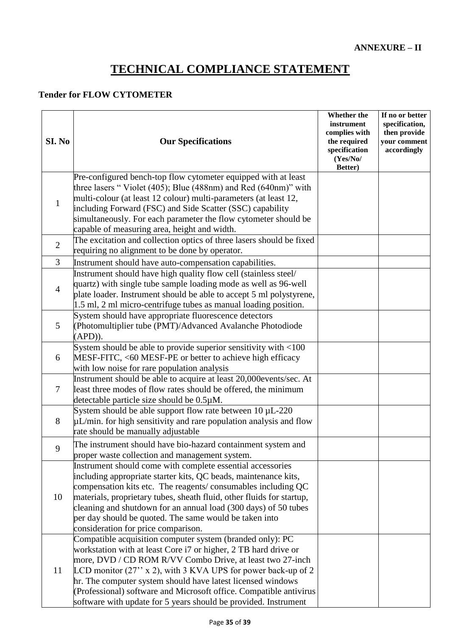# **TECHNICAL COMPLIANCE STATEMENT**

#### **Tender for FLOW CYTOMETER**

| SI. No         | <b>Our Specifications</b>                                                                                                                                                                                                                                                                                                                                                                                                                                                  | Whether the<br>instrument<br>complies with<br>the required<br>specification<br>(Yes/No/<br>Better) | If no or better<br>specification,<br>then provide<br>your comment<br>accordingly |
|----------------|----------------------------------------------------------------------------------------------------------------------------------------------------------------------------------------------------------------------------------------------------------------------------------------------------------------------------------------------------------------------------------------------------------------------------------------------------------------------------|----------------------------------------------------------------------------------------------------|----------------------------------------------------------------------------------|
| $\mathbf{1}$   | Pre-configured bench-top flow cytometer equipped with at least<br>three lasers "Violet (405); Blue (488nm) and Red (640nm)" with<br>multi-colour (at least 12 colour) multi-parameters (at least 12,<br>including Forward (FSC) and Side Scatter (SSC) capability<br>simultaneously. For each parameter the flow cytometer should be<br>capable of measuring area, height and width.                                                                                       |                                                                                                    |                                                                                  |
| $\overline{2}$ | The excitation and collection optics of three lasers should be fixed<br>requiring no alignment to be done by operator.                                                                                                                                                                                                                                                                                                                                                     |                                                                                                    |                                                                                  |
| 3              | Instrument should have auto-compensation capabilities.                                                                                                                                                                                                                                                                                                                                                                                                                     |                                                                                                    |                                                                                  |
| $\overline{4}$ | Instrument should have high quality flow cell (stainless steel/<br>quartz) with single tube sample loading mode as well as 96-well<br>plate loader. Instrument should be able to accept 5 ml polystyrene,<br>1.5 ml, 2 ml micro-centrifuge tubes as manual loading position.                                                                                                                                                                                               |                                                                                                    |                                                                                  |
| 5              | System should have appropriate fluorescence detectors<br>(Photomultiplier tube (PMT)/Advanced Avalanche Photodiode<br>$APD$ ).                                                                                                                                                                                                                                                                                                                                             |                                                                                                    |                                                                                  |
| 6              | System should be able to provide superior sensitivity with $<100$<br>MESF-FITC, <60 MESF-PE or better to achieve high efficacy<br>with low noise for rare population analysis                                                                                                                                                                                                                                                                                              |                                                                                                    |                                                                                  |
| $\tau$         | Instrument should be able to acquire at least 20,000events/sec. At<br>least three modes of flow rates should be offered, the minimum<br>detectable particle size should be 0.5µM.                                                                                                                                                                                                                                                                                          |                                                                                                    |                                                                                  |
| 8              | System should be able support flow rate between $10 \mu L$ -220<br>$\mu$ L/min. for high sensitivity and rare population analysis and flow<br>rate should be manually adjustable                                                                                                                                                                                                                                                                                           |                                                                                                    |                                                                                  |
| 9              | The instrument should have bio-hazard containment system and<br>proper waste collection and management system.                                                                                                                                                                                                                                                                                                                                                             |                                                                                                    |                                                                                  |
| 10             | Instrument should come with complete essential accessories<br>including appropriate starter kits, QC beads, maintenance kits,<br>compensation kits etc. The reagents/consumables including QC<br>materials, proprietary tubes, sheath fluid, other fluids for startup,<br>cleaning and shutdown for an annual load (300 days) of 50 tubes<br>per day should be quoted. The same would be taken into<br>consideration for price comparison.                                 |                                                                                                    |                                                                                  |
| 11             | Compatible acquisition computer system (branded only): PC<br>workstation with at least Core i7 or higher, 2 TB hard drive or<br>more, DVD / CD ROM R/VV Combo Drive, at least two 27-inch<br>LCD monitor $(27'' \times 2)$ , with 3 KVA UPS for power back-up of 2<br>hr. The computer system should have latest licensed windows<br>(Professional) software and Microsoft office. Compatible antivirus<br>software with update for 5 years should be provided. Instrument |                                                                                                    |                                                                                  |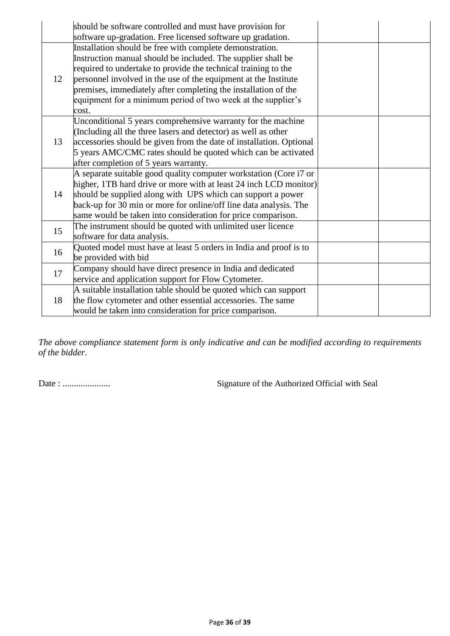|    | should be software controlled and must have provision for<br>software up-gradation. Free licensed software up gradation.                                                                                                                                                                                                                                                                                 |  |
|----|----------------------------------------------------------------------------------------------------------------------------------------------------------------------------------------------------------------------------------------------------------------------------------------------------------------------------------------------------------------------------------------------------------|--|
| 12 | Installation should be free with complete demonstration.<br>Instruction manual should be included. The supplier shall be<br>required to undertake to provide the technical training to the<br>personnel involved in the use of the equipment at the Institute<br>premises, immediately after completing the installation of the<br>equipment for a minimum period of two week at the supplier's<br>cost. |  |
| 13 | Unconditional 5 years comprehensive warranty for the machine<br>(Including all the three lasers and detector) as well as other<br>accessories should be given from the date of installation. Optional<br>5 years AMC/CMC rates should be quoted which can be activated<br>after completion of 5 years warranty.                                                                                          |  |
| 14 | A separate suitable good quality computer workstation (Core i7 or<br>higher, 1TB hard drive or more with at least 24 inch LCD monitor)<br>should be supplied along with UPS which can support a power<br>back-up for 30 min or more for online/off line data analysis. The<br>same would be taken into consideration for price comparison.                                                               |  |
| 15 | The instrument should be quoted with unlimited user licence<br>software for data analysis.                                                                                                                                                                                                                                                                                                               |  |
| 16 | Quoted model must have at least 5 orders in India and proof is to<br>be provided with bid                                                                                                                                                                                                                                                                                                                |  |
| 17 | Company should have direct presence in India and dedicated<br>service and application support for Flow Cytometer.                                                                                                                                                                                                                                                                                        |  |
| 18 | A suitable installation table should be quoted which can support<br>the flow cytometer and other essential accessories. The same<br>would be taken into consideration for price comparison.                                                                                                                                                                                                              |  |

*The above compliance statement form is only indicative and can be modified according to requirements of the bidder.*

Date : ..................... Signature of the Authorized Official with Seal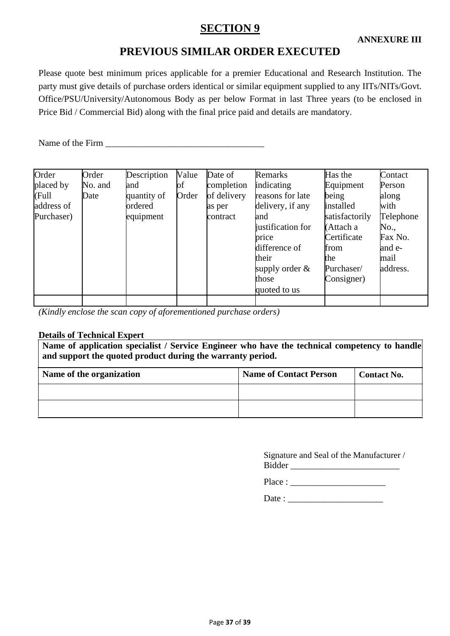# **SECTION 9**

## **PREVIOUS SIMILAR ORDER EXECUTED**

Please quote best minimum prices applicable for a premier Educational and Research Institution. The party must give details of purchase orders identical or similar equipment supplied to any IITs/NITs/Govt. Office/PSU/University/Autonomous Body as per below Format in last Three years (to be enclosed in Price Bid / Commercial Bid) along with the final price paid and details are mandatory.

Name of the Firm \_\_\_\_\_\_\_\_\_\_\_\_\_\_\_\_\_\_\_\_\_\_\_\_\_\_\_\_\_\_\_\_\_\_\_

| Order      | Order   | Description | Value | Date of     | Remarks           | Has the        | Contact   |
|------------|---------|-------------|-------|-------------|-------------------|----------------|-----------|
| placed by  | No. and | and         | bf    | completion  | indicating        | Equipment      | Person    |
| (Full      | Date    | quantity of | Order | of delivery | reasons for late  | being          | along     |
| address of |         | ordered     |       | as per      | delivery, if any  | installed      | with      |
| Purchaser) |         | equipment   |       | contract    | and               | satisfactorily | Telephone |
|            |         |             |       |             | justification for | (Attach a      | No.,      |
|            |         |             |       |             | price             | Certificate    | Fax No.   |
|            |         |             |       |             | difference of     | from           | and e-    |
|            |         |             |       |             | their             | the            | mail      |
|            |         |             |       |             | supply order $\&$ | Purchaser/     | address.  |
|            |         |             |       |             | those             | Consigner)     |           |
|            |         |             |       |             | quoted to us      |                |           |
|            |         |             |       |             |                   |                |           |

*(Kindly enclose the scan copy of aforementioned purchase orders)*

#### **Details of Technical Expert**

**Name of application specialist / Service Engineer who have the technical competency to handle and support the quoted product during the warranty period.**

| Name of the organization | <b>Name of Contact Person</b> | <b>Contact No.</b> |
|--------------------------|-------------------------------|--------------------|
|                          |                               |                    |
|                          |                               |                    |

Signature and Seal of the Manufacturer / Bidder \_\_\_\_\_\_\_\_\_\_\_\_\_\_\_\_\_\_\_\_\_\_\_\_

Place :

Date :  $\frac{1}{\sqrt{1-\frac{1}{2}}\sqrt{1-\frac{1}{2}}\sqrt{1-\frac{1}{2}}\sqrt{1-\frac{1}{2}}}}$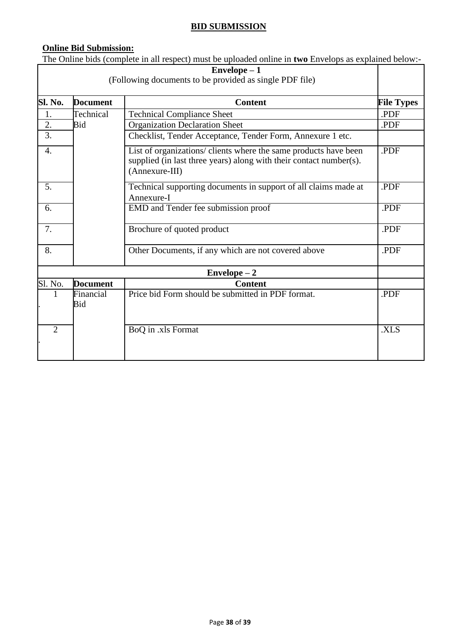#### **BID SUBMISSION**

#### **Online Bid Submission:**

The Online bids (complete in all respect) must be uploaded online in **two** Envelops as explained below:-

|                |                  | $Envelope - 1$<br>(Following documents to be provided as single PDF file)                                                                                |                   |
|----------------|------------------|----------------------------------------------------------------------------------------------------------------------------------------------------------|-------------------|
| Sl. No.        | <b>Document</b>  | <b>Content</b>                                                                                                                                           | <b>File Types</b> |
| 1.             | Technical        | <b>Technical Compliance Sheet</b>                                                                                                                        | .PDF              |
| 2.             | Bid              | <b>Organization Declaration Sheet</b>                                                                                                                    | .PDF              |
| 3.             |                  | Checklist, Tender Acceptance, Tender Form, Annexure 1 etc.                                                                                               |                   |
| 4.             |                  | List of organizations/ clients where the same products have been<br>supplied (in last three years) along with their contact number(s).<br>(Annexure-III) | .PDF              |
| 5.             |                  | Technical supporting documents in support of all claims made at<br>Annexure-I                                                                            | .PDF              |
| 6.             |                  | EMD and Tender fee submission proof                                                                                                                      | .PDF              |
| 7.             |                  | Brochure of quoted product                                                                                                                               | .PDF              |
| 8.             |                  | Other Documents, if any which are not covered above                                                                                                      | .PDF              |
|                |                  | $Envelope - 2$                                                                                                                                           |                   |
| Sl. No.        | <b>Document</b>  | <b>Content</b>                                                                                                                                           |                   |
|                | Financial<br>Bid | Price bid Form should be submitted in PDF format.                                                                                                        | .PDF              |
| $\overline{2}$ |                  | BoQ in .xls Format                                                                                                                                       | .XLS              |